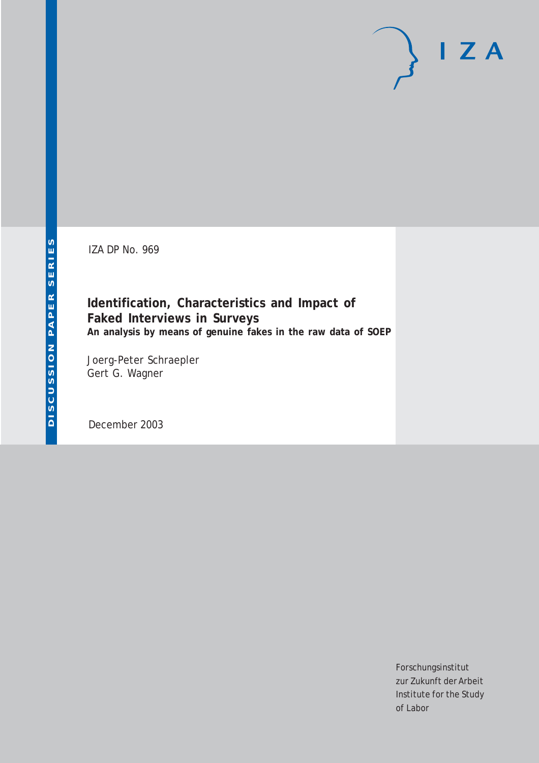IZA DP No. 969

# **Identification, Characteristics and Impact of Faked Interviews in Surveys An analysis by means of genuine fakes in the raw data of SOEP**

Joerg-Peter Schraepler Gert G. Wagner

December 2003

Forschungsinstitut zur Zukunft der Arbeit Institute for the Study of Labor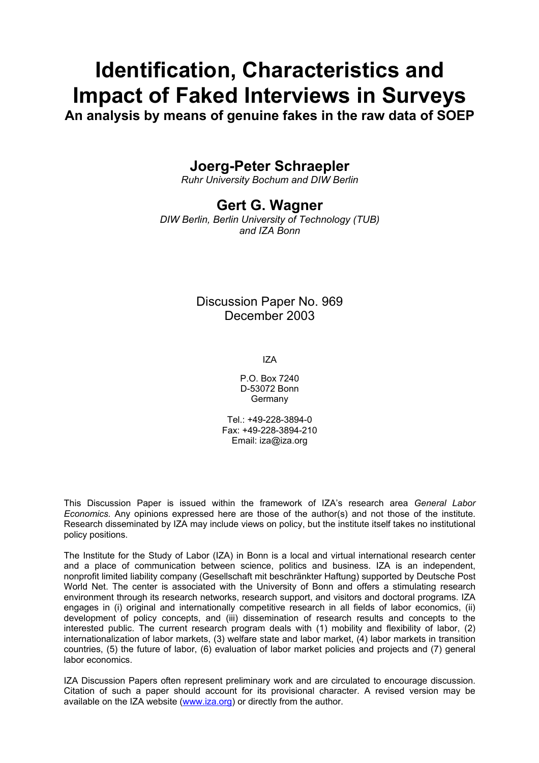# **Identification, Characteristics and Impact of Faked Interviews in Surveys**

**An analysis by means of genuine fakes in the raw data of SOEP** 

# **Joerg-Peter Schraepler**

*Ruhr University Bochum and DIW Berlin* 

# **Gert G. Wagner**

*DIW Berlin, Berlin University of Technology (TUB) and IZA Bonn* 

# Discussion Paper No. 969 December 2003

IZA

P.O. Box 7240 D-53072 Bonn Germany

Tel.: +49-228-3894-0 Fax: +49-228-3894-210 Email: [iza@iza.org](mailto:iza@iza.org)

This Discussion Paper is issued within the framework of IZA's research area *General Labor Economics.* Any opinions expressed here are those of the author(s) and not those of the institute. Research disseminated by IZA may include views on policy, but the institute itself takes no institutional policy positions.

The Institute for the Study of Labor (IZA) in Bonn is a local and virtual international research center and a place of communication between science, politics and business. IZA is an independent, nonprofit limited liability company (Gesellschaft mit beschränkter Haftung) supported by Deutsche Post World Net. The center is associated with the University of Bonn and offers a stimulating research environment through its research networks, research support, and visitors and doctoral programs. IZA engages in (i) original and internationally competitive research in all fields of labor economics, (ii) development of policy concepts, and (iii) dissemination of research results and concepts to the interested public. The current research program deals with (1) mobility and flexibility of labor, (2) internationalization of labor markets, (3) welfare state and labor market, (4) labor markets in transition countries, (5) the future of labor, (6) evaluation of labor market policies and projects and (7) general labor economics.

IZA Discussion Papers often represent preliminary work and are circulated to encourage discussion. Citation of such a paper should account for its provisional character. A revised version may be available on the IZA website ([www.iza.org](http://www.iza.org/)) or directly from the author.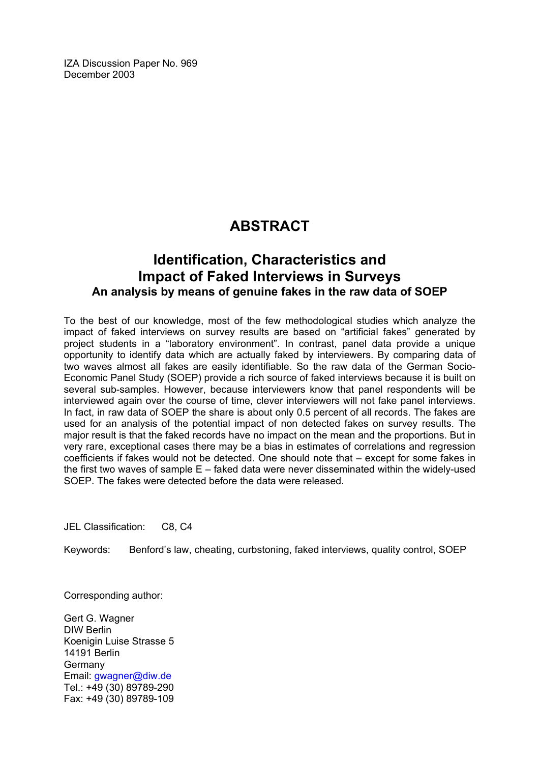IZA Discussion Paper No. 969 December 2003

# **ABSTRACT**

# **Identification, Characteristics and Impact of Faked Interviews in Surveys An analysis by means of genuine fakes in the raw data of SOEP**

To the best of our knowledge, most of the few methodological studies which analyze the impact of faked interviews on survey results are based on "artificial fakes" generated by project students in a "laboratory environment". In contrast, panel data provide a unique opportunity to identify data which are actually faked by interviewers. By comparing data of two waves almost all fakes are easily identifiable. So the raw data of the German Socio-Economic Panel Study (SOEP) provide a rich source of faked interviews because it is built on several sub-samples. However, because interviewers know that panel respondents will be interviewed again over the course of time, clever interviewers will not fake panel interviews. In fact, in raw data of SOEP the share is about only 0.5 percent of all records. The fakes are used for an analysis of the potential impact of non detected fakes on survey results. The major result is that the faked records have no impact on the mean and the proportions. But in very rare, exceptional cases there may be a bias in estimates of correlations and regression coefficients if fakes would not be detected. One should note that – except for some fakes in the first two waves of sample E – faked data were never disseminated within the widely-used SOEP. The fakes were detected before the data were released.

JEL Classification: C8, C4

Keywords: Benford's law, cheating, curbstoning, faked interviews, quality control, SOEP

Corresponding author:

Gert G. Wagner DIW Berlin Koenigin Luise Strasse 5 14191 Berlin Germany Email: [gwagner@diw.de](mailto:gwagner@diw.de) Tel.: +49 (30) 89789-290 Fax: +49 (30) 89789-109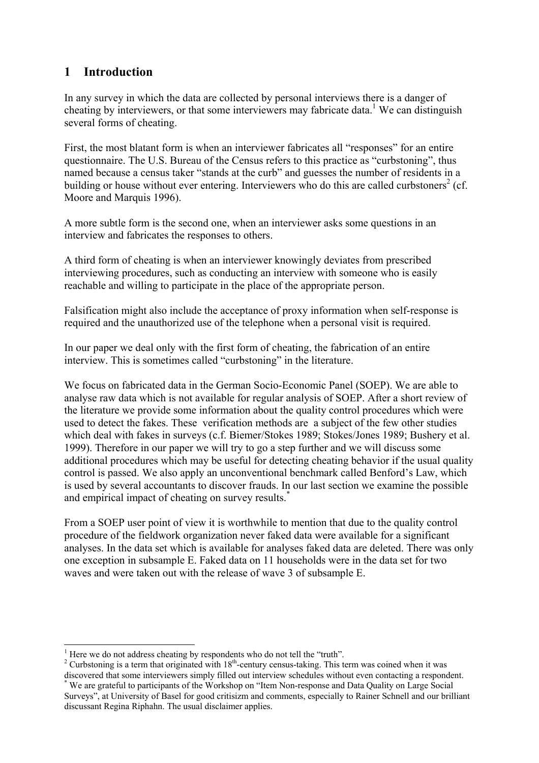# **1 Introduction**

In any survey in which the data are collected by personal interviews there is a danger of cheating by interviewers, or that some interviewers may fabricate data.<sup>1</sup> We can distinguish several forms of cheating.

First, the most blatant form is when an interviewer fabricates all "responses" for an entire questionnaire. The U.S. Bureau of the Census refers to this practice as "curbstoning", thus named because a census taker "stands at the curb" and guesses the number of residents in a building or house without ever entering. Interviewers who do this are called curbstoners<sup>2</sup> (cf. Moore and Marquis 1996).

A more subtle form is the second one, when an interviewer asks some questions in an interview and fabricates the responses to others.

A third form of cheating is when an interviewer knowingly deviates from prescribed interviewing procedures, such as conducting an interview with someone who is easily reachable and willing to participate in the place of the appropriate person.

Falsification might also include the acceptance of proxy information when self-response is required and the unauthorized use of the telephone when a personal visit is required.

In our paper we deal only with the first form of cheating, the fabrication of an entire interview. This is sometimes called "curbstoning" in the literature.

We focus on fabricated data in the German Socio-Economic Panel (SOEP). We are able to analyse raw data which is not available for regular analysis of SOEP. After a short review of the literature we provide some information about the quality control procedures which were used to detect the fakes. These verification methods are a subject of the few other studies which deal with fakes in surveys (c.f. Biemer/Stokes 1989; Stokes/Jones 1989; Bushery et al. 1999). Therefore in our paper we will try to go a step further and we will discuss some additional procedures which may be useful for detecting cheating behavior if the usual quality control is passed. We also apply an unconventional benchmark called Benford's Law, which is used by several accountants to discover frauds. In our last section we examine the possible and empirical impact of cheating on survey results.<sup>\*</sup>

From a SOEP user point of view it is worthwhile to mention that due to the quality control procedure of the fieldwork organization never faked data were available for a significant analyses. In the data set which is available for analyses faked data are deleted. There was only one exception in subsample E. Faked data on 11 households were in the data set for two waves and were taken out with the release of wave 3 of subsample E.

<sup>&</sup>lt;sup>1</sup> Here we do not address cheating by respondents who do not tell the "truth".

<sup>&</sup>lt;sup>2</sup> Curbstoning is a term that originated with 18<sup>th</sup>-century census-taking. This term was coined when it was discovered that some interviewers simply filled out interview schedules without even contacting a respondent. We are grateful to participants of the Workshop on "Item Non-response and Data Quality on Large Social

Surveys", at University of Basel for good critisizm and comments, especially to Rainer Schnell and our brilliant discussant Regina Riphahn. The usual disclaimer applies.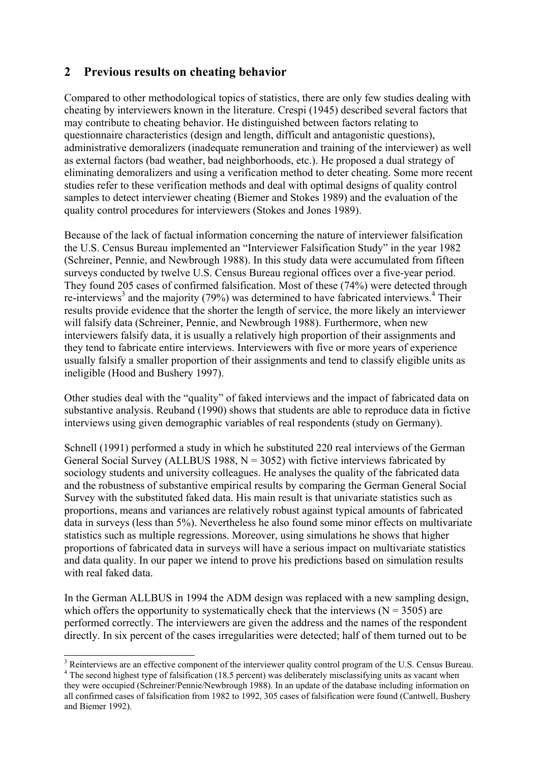# **2 Previous results on cheating behavior**

Compared to other methodological topics of statistics, there are only few studies dealing with cheating by interviewers known in the literature. Crespi (1945) described several factors that may contribute to cheating behavior. He distinguished between factors relating to questionnaire characteristics (design and length, difficult and antagonistic questions), administrative demoralizers (inadequate remuneration and training of the interviewer) as well as external factors (bad weather, bad neighborhoods, etc.). He proposed a dual strategy of eliminating demoralizers and using a verification method to deter cheating. Some more recent studies refer to these verification methods and deal with optimal designs of quality control samples to detect interviewer cheating (Biemer and Stokes 1989) and the evaluation of the quality control procedures for interviewers (Stokes and Jones 1989).

Because of the lack of factual information concerning the nature of interviewer falsification the U.S. Census Bureau implemented an "Interviewer Falsification Study" in the year 1982 (Schreiner, Pennie, and Newbrough 1988). In this study data were accumulated from fifteen surveys conducted by twelve U.S. Census Bureau regional offices over a five-year period. They found 205 cases of confirmed falsification. Most of these (74%) were detected through re-interviews<sup>3</sup> and the majority (79%) was determined to have fabricated interviews.<sup>4</sup> Their results provide evidence that the shorter the length of service, the more likely an interviewer will falsify data (Schreiner, Pennie, and Newbrough 1988). Furthermore, when new interviewers falsify data, it is usually a relatively high proportion of their assignments and they tend to fabricate entire interviews. Interviewers with five or more years of experience usually falsify a smaller proportion of their assignments and tend to classify eligible units as ineligible (Hood and Bushery 1997).

Other studies deal with the "quality" of faked interviews and the impact of fabricated data on substantive analysis. Reuband (1990) shows that students are able to reproduce data in fictive interviews using given demographic variables of real respondents (study on Germany).

Schnell (1991) performed a study in which he substituted 220 real interviews of the German General Social Survey (ALLBUS 1988,  $N = 3052$ ) with fictive interviews fabricated by sociology students and university colleagues. He analyses the quality of the fabricated data and the robustness of substantive empirical results by comparing the German General Social Survey with the substituted faked data. His main result is that univariate statistics such as proportions, means and variances are relatively robust against typical amounts of fabricated data in surveys (less than 5%). Nevertheless he also found some minor effects on multivariate statistics such as multiple regressions. Moreover, using simulations he shows that higher proportions of fabricated data in surveys will have a serious impact on multivariate statistics and data quality. In our paper we intend to prove his predictions based on simulation results with real faked data.

In the German ALLBUS in 1994 the ADM design was replaced with a new sampling design, which offers the opportunity to systematically check that the interviews  $(N = 3505)$  are performed correctly. The interviewers are given the address and the names of the respondent directly. In six percent of the cases irregularities were detected; half of them turned out to be

<sup>&</sup>lt;sup>3</sup> Reinterviews are an effective component of the interviewer quality control program of the U.S. Census Bureau.

<sup>&</sup>lt;sup>4</sup> The second highest type of falsification (18.5 percent) was deliberately misclassifying units as vacant when they were occupied (Schreiner/Pennie/Newbrough 1988). In an update of the database including information on all confirmed cases of falsification from 1982 to 1992, 305 cases of falsification were found (Cantwell, Bushery and Biemer 1992).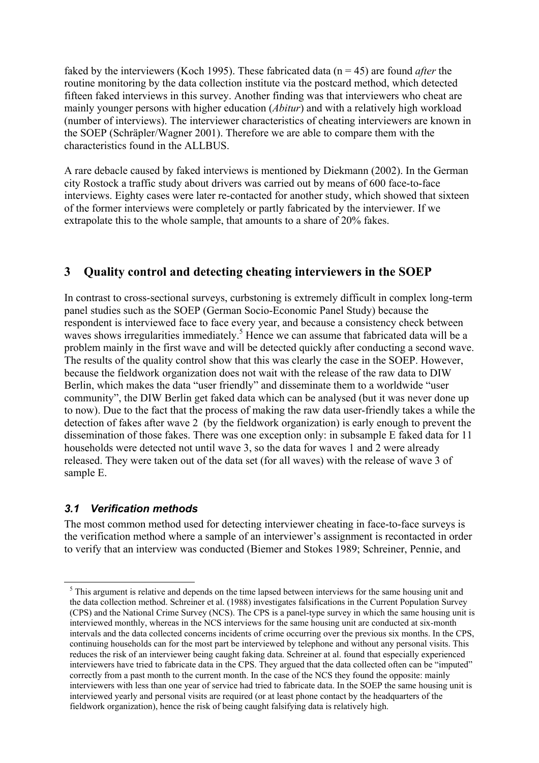faked by the interviewers (Koch 1995). These fabricated data (n = 45) are found *after* the routine monitoring by the data collection institute via the postcard method, which detected fifteen faked interviews in this survey. Another finding was that interviewers who cheat are mainly younger persons with higher education (*Abitur*) and with a relatively high workload (number of interviews). The interviewer characteristics of cheating interviewers are known in the SOEP (Schräpler/Wagner 2001). Therefore we are able to compare them with the characteristics found in the ALLBUS.

A rare debacle caused by faked interviews is mentioned by Diekmann (2002). In the German city Rostock a traffic study about drivers was carried out by means of 600 face-to-face interviews. Eighty cases were later re-contacted for another study, which showed that sixteen of the former interviews were completely or partly fabricated by the interviewer. If we extrapolate this to the whole sample, that amounts to a share of 20% fakes.

# **3 Quality control and detecting cheating interviewers in the SOEP**

In contrast to cross-sectional surveys, curbstoning is extremely difficult in complex long-term panel studies such as the SOEP (German Socio-Economic Panel Study) because the respondent is interviewed face to face every year, and because a consistency check between waves shows irregularities immediately.<sup>5</sup> Hence we can assume that fabricated data will be a problem mainly in the first wave and will be detected quickly after conducting a second wave. The results of the quality control show that this was clearly the case in the SOEP. However, because the fieldwork organization does not wait with the release of the raw data to DIW Berlin, which makes the data "user friendly" and disseminate them to a worldwide "user community", the DIW Berlin get faked data which can be analysed (but it was never done up to now). Due to the fact that the process of making the raw data user-friendly takes a while the detection of fakes after wave 2 (by the fieldwork organization) is early enough to prevent the dissemination of those fakes. There was one exception only: in subsample E faked data for 11 households were detected not until wave 3, so the data for waves 1 and 2 were already released. They were taken out of the data set (for all waves) with the release of wave 3 of sample E.

# *3.1 Verification methods*

 $\overline{a}$ 

The most common method used for detecting interviewer cheating in face-to-face surveys is the verification method where a sample of an interviewer's assignment is recontacted in order to verify that an interview was conducted (Biemer and Stokes 1989; Schreiner, Pennie, and

<sup>&</sup>lt;sup>5</sup> This argument is relative and depends on the time lapsed between interviews for the same housing unit and the data collection method. Schreiner et al. (1988) investigates falsifications in the Current Population Survey (CPS) and the National Crime Survey (NCS). The CPS is a panel-type survey in which the same housing unit is interviewed monthly, whereas in the NCS interviews for the same housing unit are conducted at six-month intervals and the data collected concerns incidents of crime occurring over the previous six months. In the CPS, continuing households can for the most part be interviewed by telephone and without any personal visits. This reduces the risk of an interviewer being caught faking data. Schreiner at al. found that especially experienced interviewers have tried to fabricate data in the CPS. They argued that the data collected often can be "imputed" correctly from a past month to the current month. In the case of the NCS they found the opposite: mainly interviewers with less than one year of service had tried to fabricate data. In the SOEP the same housing unit is interviewed yearly and personal visits are required (or at least phone contact by the headquarters of the fieldwork organization), hence the risk of being caught falsifying data is relatively high.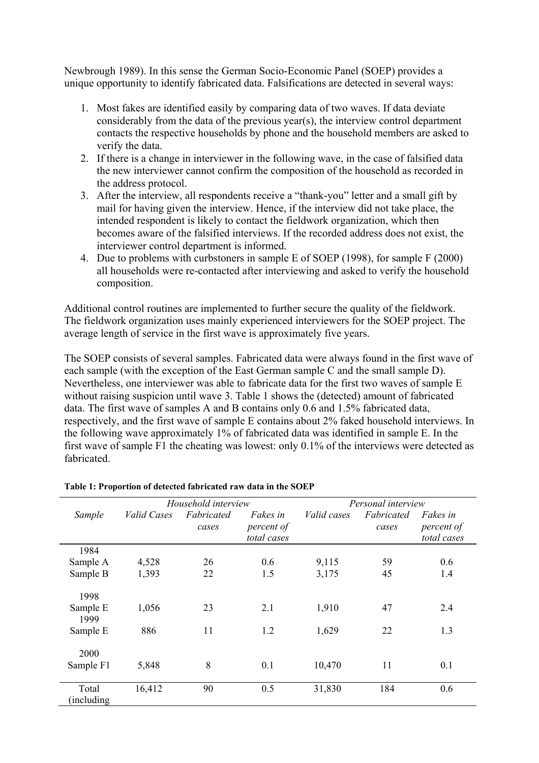Newbrough 1989). In this sense the German Socio-Economic Panel (SOEP) provides a unique opportunity to identify fabricated data. Falsifications are detected in several ways:

- 1. Most fakes are identified easily by comparing data of two waves. If data deviate considerably from the data of the previous year(s), the interview control department contacts the respective households by phone and the household members are asked to verify the data.
- 2. If there is a change in interviewer in the following wave, in the case of falsified data the new interviewer cannot confirm the composition of the household as recorded in the address protocol.
- 3. After the interview, all respondents receive a "thank-you" letter and a small gift by mail for having given the interview. Hence, if the interview did not take place, the intended respondent is likely to contact the fieldwork organization, which then becomes aware of the falsified interviews. If the recorded address does not exist, the interviewer control department is informed.
- 4. Due to problems with curbstoners in sample E of SOEP (1998), for sample F (2000) all households were re-contacted after interviewing and asked to verify the household composition.

Additional control routines are implemented to further secure the quality of the fieldwork. The fieldwork organization uses mainly experienced interviewers for the SOEP project. The average length of service in the first wave is approximately five years.

The SOEP consists of several samples. Fabricated data were always found in the first wave of each sample (with the exception of the East German sample C and the small sample D). Nevertheless, one interviewer was able to fabricate data for the first two waves of sample E without raising suspicion until wave 3. Table 1 shows the (detected) amount of fabricated data. The first wave of samples A and B contains only 0.6 and 1.5% fabricated data, respectively, and the first wave of sample E contains about 2% faked household interviews. In the following wave approximately 1% of fabricated data was identified in sample E. In the first wave of sample F1 the cheating was lowest: only 0.1% of the interviews were detected as fabricated.

|                      |             | Household interview |                                              | Personal interview |                     |                                              |  |  |
|----------------------|-------------|---------------------|----------------------------------------------|--------------------|---------------------|----------------------------------------------|--|--|
| Sample               | Valid Cases | Fabricated<br>cases | <i>Fakes in</i><br>percent of<br>total cases | <i>Valid cases</i> | Fabricated<br>cases | <i>Fakes in</i><br>percent of<br>total cases |  |  |
| 1984                 |             |                     |                                              |                    |                     |                                              |  |  |
| Sample A             | 4,528       | 26                  | 0.6                                          | 9,115              | 59                  | 0.6                                          |  |  |
| Sample B             | 1,393       | 22                  | 1.5                                          | 3,175              | 45                  | 1.4                                          |  |  |
| 1998                 |             |                     |                                              |                    |                     |                                              |  |  |
| Sample E<br>1999     | 1,056       | 23                  | 2.1                                          | 1,910              | 47                  | 2.4                                          |  |  |
| Sample E             | 886         | 11                  | 1.2                                          | 1,629              | 22                  | 1.3                                          |  |  |
| 2000                 |             |                     |                                              |                    |                     |                                              |  |  |
| Sample F1            | 5,848       | 8                   | 0.1                                          | 10,470             | 11                  | 0.1                                          |  |  |
| Total<br>(including) | 16,412      | 90                  | 0.5                                          | 31,830             | 184                 | 0.6                                          |  |  |

#### **Table 1: Proportion of detected fabricated raw data in the SOEP**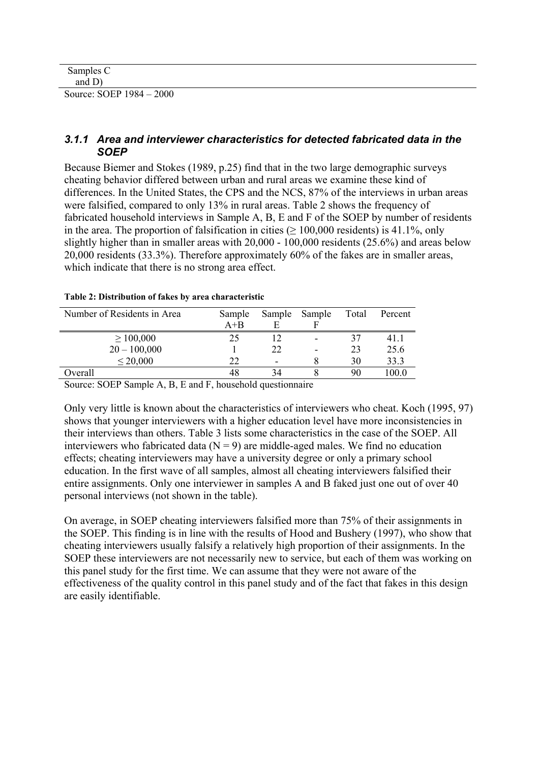| Samples C                |  |  |
|--------------------------|--|--|
| and $D$                  |  |  |
| Source: SOEP 1984 – 2000 |  |  |

#### *3.1.1 Area and interviewer characteristics for detected fabricated data in the SOEP*

Because Biemer and Stokes (1989, p.25) find that in the two large demographic surveys cheating behavior differed between urban and rural areas we examine these kind of differences. In the United States, the CPS and the NCS, 87% of the interviews in urban areas were falsified, compared to only 13% in rural areas. Table 2 shows the frequency of fabricated household interviews in Sample A, B, E and F of the SOEP by number of residents in the area. The proportion of falsification in cities ( $\geq 100,000$  residents) is 41.1%, only slightly higher than in smaller areas with 20,000 - 100,000 residents (25.6%) and areas below 20,000 residents (33.3%). Therefore approximately 60% of the fakes are in smaller areas, which indicate that there is no strong area effect.

| Number of Residents in Area | Sample  |    | Sample Sample            | Total | Percent |
|-----------------------------|---------|----|--------------------------|-------|---------|
|                             | $A + B$ |    |                          |       |         |
| $\geq 100,000$              | 25      |    | -                        | 37    | 41 1    |
| $20 - 100,000$              |         | 22 | $\overline{\phantom{0}}$ | 23    | 25.6    |
| $\leq 20,000$               | 22      |    |                          | 30    | 33.3    |
| Overall                     | 48      | 34 |                          | 90    | 100 0   |
| - - -                       | - - -   |    |                          |       |         |

#### **Table 2: Distribution of fakes by area characteristic**

Source: SOEP Sample A, B, E and F, household questionnaire

Only very little is known about the characteristics of interviewers who cheat. Koch (1995, 97) shows that younger interviewers with a higher education level have more inconsistencies in their interviews than others. Table 3 lists some characteristics in the case of the SOEP. All interviewers who fabricated data  $(N = 9)$  are middle-aged males. We find no education effects; cheating interviewers may have a university degree or only a primary school education. In the first wave of all samples, almost all cheating interviewers falsified their entire assignments. Only one interviewer in samples A and B faked just one out of over 40 personal interviews (not shown in the table).

On average, in SOEP cheating interviewers falsified more than 75% of their assignments in the SOEP. This finding is in line with the results of Hood and Bushery (1997), who show that cheating interviewers usually falsify a relatively high proportion of their assignments. In the SOEP these interviewers are not necessarily new to service, but each of them was working on this panel study for the first time. We can assume that they were not aware of the effectiveness of the quality control in this panel study and of the fact that fakes in this design are easily identifiable.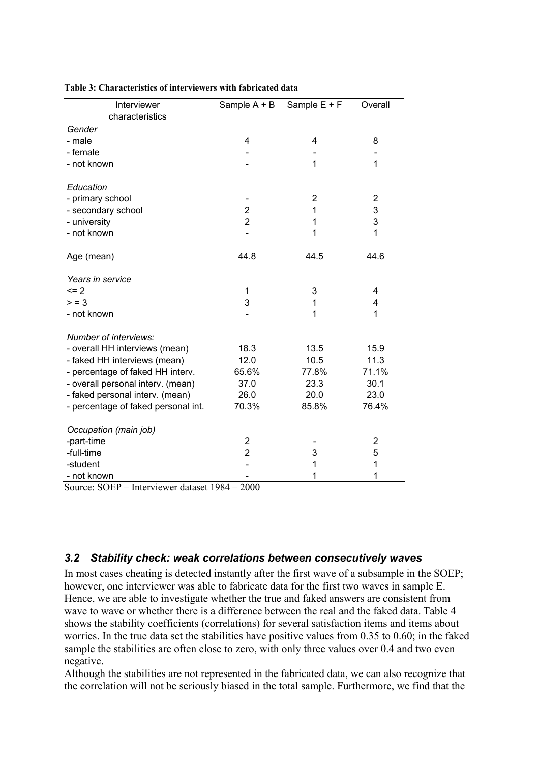| Interviewer<br>characteristics      | Sample A + B   | Sample E + F   | Overall        |
|-------------------------------------|----------------|----------------|----------------|
| Gender                              |                |                |                |
| - male                              | 4              | 4              | 8              |
| - female                            |                |                |                |
| - not known                         |                | 1              | 1              |
| Education                           |                |                |                |
| - primary school                    |                | $\overline{2}$ | $\overline{2}$ |
| - secondary school                  | 2              | 1              | 3              |
| - university                        | $\overline{2}$ | 1              | 3              |
| - not known                         |                | 1              | 1              |
| Age (mean)                          | 44.8           | 44.5           | 44.6           |
| Years in service                    |                |                |                |
| $= 2$                               | 1              | 3              | 4              |
| > 3                                 | 3              | 1              | 4              |
| - not known                         |                | 1              | 1              |
| Number of interviews:               |                |                |                |
| - overall HH interviews (mean)      | 18.3           | 13.5           | 15.9           |
| - faked HH interviews (mean)        | 12.0           | 10.5           | 11.3           |
| - percentage of faked HH interv.    | 65.6%          | 77.8%          | 71.1%          |
| - overall personal interv. (mean)   | 37.0           | 23.3           | 30.1           |
| - faked personal interv. (mean)     | 26.0           | 20.0           | 23.0           |
| - percentage of faked personal int. | 70.3%          | 85.8%          | 76.4%          |
| Occupation (main job)               |                |                |                |
| -part-time                          | 2              |                | $\overline{c}$ |
| -full-time                          | $\overline{2}$ | 3              | 5              |
| -student                            |                | 1              | 1              |
| - not known                         |                | 1              | 1              |

#### **Table 3: Characteristics of interviewers with fabricated data**

Source: SOEP – Interviewer dataset 1984 – 2000

#### *3.2 Stability check: weak correlations between consecutively waves*

In most cases cheating is detected instantly after the first wave of a subsample in the SOEP; however, one interviewer was able to fabricate data for the first two waves in sample E. Hence, we are able to investigate whether the true and faked answers are consistent from wave to wave or whether there is a difference between the real and the faked data. Table 4 shows the stability coefficients (correlations) for several satisfaction items and items about worries. In the true data set the stabilities have positive values from 0.35 to 0.60; in the faked sample the stabilities are often close to zero, with only three values over 0.4 and two even negative.

Although the stabilities are not represented in the fabricated data, we can also recognize that the correlation will not be seriously biased in the total sample. Furthermore, we find that the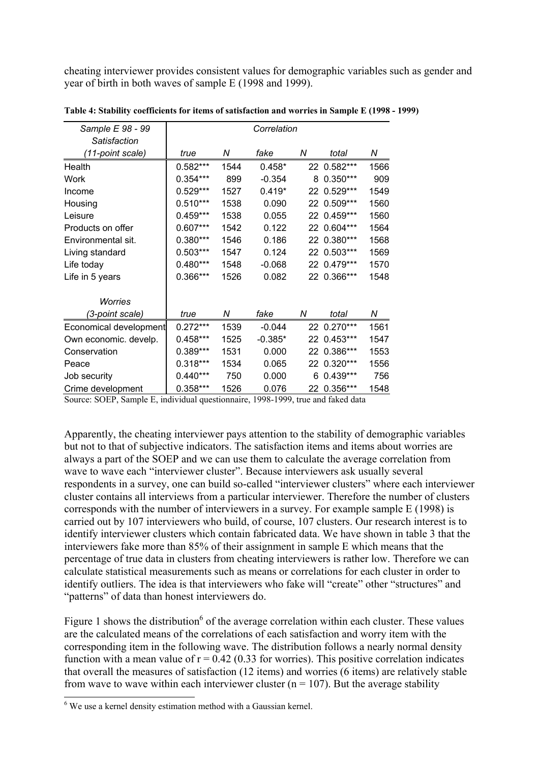cheating interviewer provides consistent values for demographic variables such as gender and year of birth in both waves of sample E (1998 and 1999).

| Sample E 98 - 99       |            |      | Correlation |   |             |      |
|------------------------|------------|------|-------------|---|-------------|------|
| Satisfaction           |            |      |             |   |             |      |
| (11-point scale)       | true       | Ν    | fake        | Ν | total       | Ν    |
| Health                 | $0.582***$ | 1544 | $0.458*$    |   | 22 0.582*** | 1566 |
| Work                   | $0.354***$ | 899  | $-0.354$    | 8 | $0.350***$  | 909  |
| Income                 | $0.529***$ | 1527 | $0.419*$    |   | 22 0.529*** | 1549 |
| Housing                | $0.510***$ | 1538 | 0.090       |   | 22 0.509*** | 1560 |
| Leisure                | $0.459***$ | 1538 | 0.055       |   | 22 0.459*** | 1560 |
| Products on offer      | $0.607***$ | 1542 | 0.122       |   | 22 0.604*** | 1564 |
| Environmental sit.     | $0.380***$ | 1546 | 0.186       |   | 22 0.380*** | 1568 |
| Living standard        | $0.503***$ | 1547 | 0.124       |   | 22 0.503*** | 1569 |
| Life today             | $0.480***$ | 1548 | $-0.068$    |   | 22 0.479*** | 1570 |
| Life in 5 years        | 0.366***   | 1526 | 0.082       |   | 22 0.366*** | 1548 |
| <b>Worries</b>         |            |      |             |   |             |      |
| (3-point scale)        | true       | Ν    | fake        | N | total       | Ν    |
| Economical development | $0.272***$ | 1539 | $-0.044$    |   | 22 0.270*** | 1561 |
| Own economic. develp.  | $0.458***$ | 1525 | $-0.385*$   |   | 22 0.453*** | 1547 |
| Conservation           | $0.389***$ | 1531 | 0.000       |   | 22 0.386*** | 1553 |
| Peace                  | $0.318***$ | 1534 | 0.065       |   | 22 0.320*** | 1556 |
| Job security           | $0.440***$ | 750  | 0.000       | 6 | $0.439***$  | 756  |
| Crime development      | $0.358***$ | 1526 | 0.076       |   | 22 0.356*** | 1548 |

**Table 4: Stability coefficients for items of satisfaction and worries in Sample E (1998 - 1999)** 

Source: SOEP, Sample E, individual questionnaire, 1998-1999, true and faked data

Apparently, the cheating interviewer pays attention to the stability of demographic variables but not to that of subjective indicators. The satisfaction items and items about worries are always a part of the SOEP and we can use them to calculate the average correlation from wave to wave each "interviewer cluster". Because interviewers ask usually several respondents in a survey, one can build so-called "interviewer clusters" where each interviewer cluster contains all interviews from a particular interviewer. Therefore the number of clusters corresponds with the number of interviewers in a survey. For example sample E (1998) is carried out by 107 interviewers who build, of course, 107 clusters. Our research interest is to identify interviewer clusters which contain fabricated data. We have shown in table 3 that the interviewers fake more than 85% of their assignment in sample E which means that the percentage of true data in clusters from cheating interviewers is rather low. Therefore we can calculate statistical measurements such as means or correlations for each cluster in order to identify outliers. The idea is that interviewers who fake will "create" other "structures" and "patterns" of data than honest interviewers do.

Figure 1 shows the distribution<sup>6</sup> of the average correlation within each cluster. These values are the calculated means of the correlations of each satisfaction and worry item with the corresponding item in the following wave. The distribution follows a nearly normal density function with a mean value of  $r = 0.42$  (0.33 for worries). This positive correlation indicates that overall the measures of satisfaction (12 items) and worries (6 items) are relatively stable from wave to wave within each interviewer cluster ( $n = 107$ ). But the average stability

 $\overline{a}$ 

 $6$  We use a kernel density estimation method with a Gaussian kernel.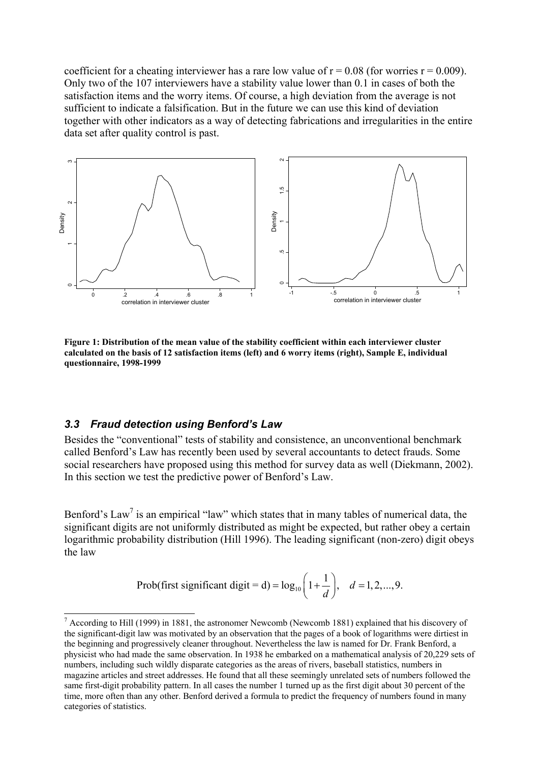coefficient for a cheating interviewer has a rare low value of  $r = 0.08$  (for worries  $r = 0.009$ ). Only two of the 107 interviewers have a stability value lower than 0.1 in cases of both the satisfaction items and the worry items. Of course, a high deviation from the average is not sufficient to indicate a falsification. But in the future we can use this kind of deviation together with other indicators as a way of detecting fabrications and irregularities in the entire data set after quality control is past.



**Figure 1: Distribution of the mean value of the stability coefficient within each interviewer cluster calculated on the basis of 12 satisfaction items (left) and 6 worry items (right), Sample E, individual questionnaire, 1998-1999** 

#### *3.3 Fraud detection using Benford's Law*

 $\overline{a}$ 

Besides the "conventional" tests of stability and consistence, an unconventional benchmark called Benford's Law has recently been used by several accountants to detect frauds. Some social researchers have proposed using this method for survey data as well (Diekmann, 2002). In this section we test the predictive power of Benford's Law.

Benford's Law<sup>7</sup> is an empirical "law" which states that in many tables of numerical data, the significant digits are not uniformly distributed as might be expected, but rather obey a certain logarithmic probability distribution (Hill 1996). The leading significant (non-zero) digit obeys the law

Prob(first significant digit = d) = 
$$
log_{10} \left( 1 + \frac{1}{d} \right)
$$
,  $d = 1, 2, ..., 9$ .

 $<sup>7</sup>$  According to Hill (1999) in 1881, the astronomer Newcomb (Newcomb 1881) explained that his discovery of</sup> the significant-digit law was motivated by an observation that the pages of a book of logarithms were dirtiest in the beginning and progressively cleaner throughout. Nevertheless the law is named for Dr. Frank Benford, a physicist who had made the same observation. In 1938 he embarked on a mathematical analysis of 20,229 sets of numbers, including such wildly disparate categories as the areas of rivers, baseball statistics, numbers in magazine articles and street addresses. He found that all these seemingly unrelated sets of numbers followed the same first-digit probability pattern. In all cases the number 1 turned up as the first digit about 30 percent of the time, more often than any other. Benford derived a formula to predict the frequency of numbers found in many categories of statistics.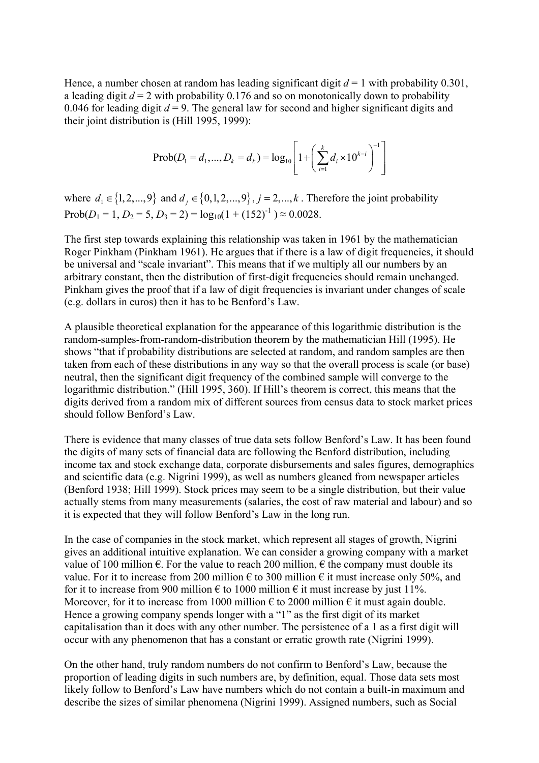Hence, a number chosen at random has leading significant digit  $d = 1$  with probability 0.301, a leading digit  $d = 2$  with probability 0.176 and so on monotonically down to probability 0.046 for leading digit  $d = 9$ . The general law for second and higher significant digits and their joint distribution is (Hill 1995, 1999):

$$
\text{Prob}(D_1 = d_1, ..., D_k = d_k) = \log_{10} \left[ 1 + \left( \sum_{i=1}^k d_i \times 10^{k-i} \right)^{-1} \right]
$$

where  $d_1 \in \{1, 2, ..., 9\}$  and  $d_j \in \{0, 1, 2, ..., 9\}$ ,  $j = 2, ..., k$ . Therefore the joint probability  $Prob(D_1 = 1, D_2 = 5, D_3 = 2) = log_{10}(1 + (152)^{-1}) \approx 0.0028.$ 

The first step towards explaining this relationship was taken in 1961 by the mathematician Roger Pinkham (Pinkham 1961). He argues that if there is a law of digit frequencies, it should be universal and "scale invariant". This means that if we multiply all our numbers by an arbitrary constant, then the distribution of first-digit frequencies should remain unchanged. Pinkham gives the proof that if a law of digit frequencies is invariant under changes of scale (e.g. dollars in euros) then it has to be Benford's Law.

A plausible theoretical explanation for the appearance of this logarithmic distribution is the random-samples-from-random-distribution theorem by the mathematician Hill (1995). He shows "that if probability distributions are selected at random, and random samples are then taken from each of these distributions in any way so that the overall process is scale (or base) neutral, then the significant digit frequency of the combined sample will converge to the logarithmic distribution." (Hill 1995, 360). If Hill's theorem is correct, this means that the digits derived from a random mix of different sources from census data to stock market prices should follow Benford's Law.

There is evidence that many classes of true data sets follow Benford's Law. It has been found the digits of many sets of financial data are following the Benford distribution, including income tax and stock exchange data, corporate disbursements and sales figures, demographics and scientific data (e.g. Nigrini 1999), as well as numbers gleaned from newspaper articles (Benford 1938; Hill 1999). Stock prices may seem to be a single distribution, but their value actually stems from many measurements (salaries, the cost of raw material and labour) and so it is expected that they will follow Benford's Law in the long run.

In the case of companies in the stock market, which represent all stages of growth, Nigrini gives an additional intuitive explanation. We can consider a growing company with a market value of 100 million  $\epsilon$ . For the value to reach 200 million,  $\epsilon$  the company must double its value. For it to increase from 200 million  $\epsilon$  to 300 million  $\epsilon$  it must increase only 50%, and for it to increase from 900 million  $\epsilon$  to 1000 million  $\epsilon$  it must increase by just 11%. Moreover, for it to increase from 1000 million  $\epsilon$  to 2000 million  $\epsilon$  it must again double. Hence a growing company spends longer with a "1" as the first digit of its market capitalisation than it does with any other number. The persistence of a 1 as a first digit will occur with any phenomenon that has a constant or erratic growth rate (Nigrini 1999).

On the other hand, truly random numbers do not confirm to Benford's Law, because the proportion of leading digits in such numbers are, by definition, equal. Those data sets most likely follow to Benford's Law have numbers which do not contain a built-in maximum and describe the sizes of similar phenomena (Nigrini 1999). Assigned numbers, such as Social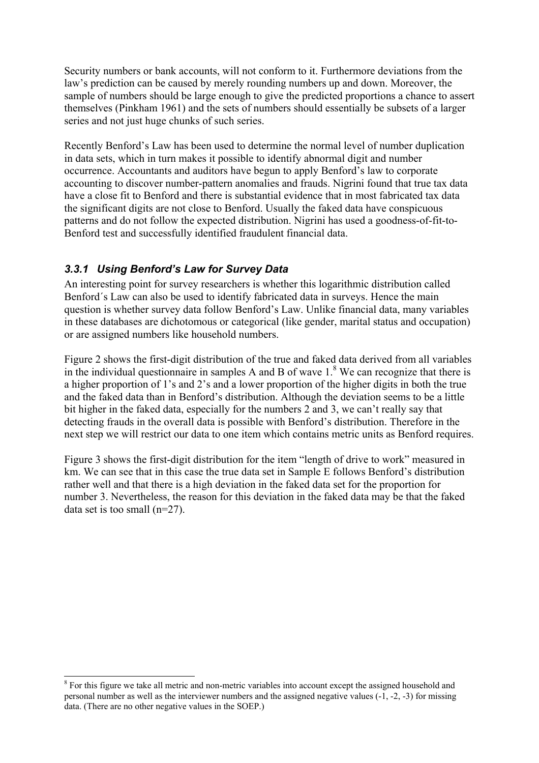Security numbers or bank accounts, will not conform to it. Furthermore deviations from the law's prediction can be caused by merely rounding numbers up and down. Moreover, the sample of numbers should be large enough to give the predicted proportions a chance to assert themselves (Pinkham 1961) and the sets of numbers should essentially be subsets of a larger series and not just huge chunks of such series.

Recently Benford's Law has been used to determine the normal level of number duplication in data sets, which in turn makes it possible to identify abnormal digit and number occurrence. Accountants and auditors have begun to apply Benford's law to corporate accounting to discover number-pattern anomalies and frauds. Nigrini found that true tax data have a close fit to Benford and there is substantial evidence that in most fabricated tax data the significant digits are not close to Benford. Usually the faked data have conspicuous patterns and do not follow the expected distribution. Nigrini has used a goodness-of-fit-to-Benford test and successfully identified fraudulent financial data.

# *3.3.1 Using Benford's Law for Survey Data*

 $\overline{a}$ 

An interesting point for survey researchers is whether this logarithmic distribution called Benford´s Law can also be used to identify fabricated data in surveys. Hence the main question is whether survey data follow Benford's Law. Unlike financial data, many variables in these databases are dichotomous or categorical (like gender, marital status and occupation) or are assigned numbers like household numbers.

Figure 2 shows the first-digit distribution of the true and faked data derived from all variables in the individual questionnaire in samples A and B of wave  $1<sup>8</sup>$  We can recognize that there is a higher proportion of 1's and 2's and a lower proportion of the higher digits in both the true and the faked data than in Benford's distribution. Although the deviation seems to be a little bit higher in the faked data, especially for the numbers 2 and 3, we can't really say that detecting frauds in the overall data is possible with Benford's distribution. Therefore in the next step we will restrict our data to one item which contains metric units as Benford requires.

Figure 3 shows the first-digit distribution for the item "length of drive to work" measured in km. We can see that in this case the true data set in Sample E follows Benford's distribution rather well and that there is a high deviation in the faked data set for the proportion for number 3. Nevertheless, the reason for this deviation in the faked data may be that the faked data set is too small (n=27).

<sup>&</sup>lt;sup>8</sup> For this figure we take all metric and non-metric variables into account except the assigned household and personal number as well as the interviewer numbers and the assigned negative values (-1, -2, -3) for missing data. (There are no other negative values in the SOEP.)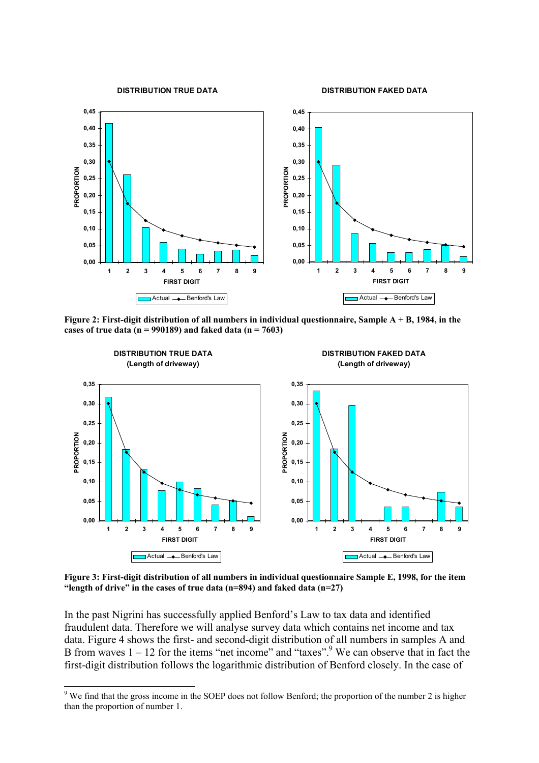**DISTRIBUTION TRUE DATA**

**DISTRIBUTION FAKED DATA**



**Figure 2: First-digit distribution of all numbers in individual questionnaire, Sample A + B, 1984, in the cases of true data (n = 990189) and faked data (n = 7603)** 



**Figure 3: First-digit distribution of all numbers in individual questionnaire Sample E, 1998, for the item "length of drive" in the cases of true data (n=894) and faked data (n=27)** 

In the past Nigrini has successfully applied Benford's Law to tax data and identified fraudulent data. Therefore we will analyse survey data which contains net income and tax data. Figure 4 shows the first- and second-digit distribution of all numbers in samples A and B from waves  $1 - 12$  for the items "net income" and "taxes". We can observe that in fact the first-digit distribution follows the logarithmic distribution of Benford closely. In the case of

 $\overline{a}$ 

<sup>&</sup>lt;sup>9</sup> We find that the gross income in the SOEP does not follow Benford; the proportion of the number 2 is higher than the proportion of number 1.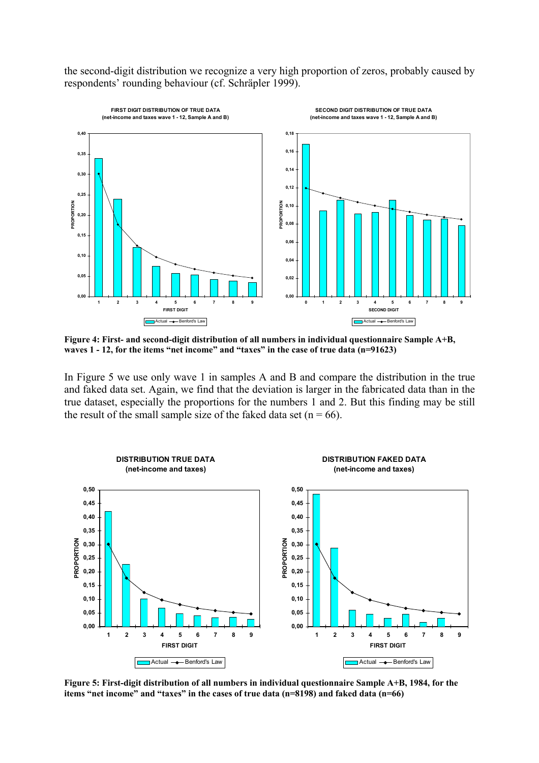the second-digit distribution we recognize a very high proportion of zeros, probably caused by respondents' rounding behaviour (cf. Schräpler 1999).



**Figure 4: First- and second-digit distribution of all numbers in individual questionnaire Sample A+B, waves 1 - 12, for the items "net income" and "taxes" in the case of true data (n=91623)** 

In Figure 5 we use only wave 1 in samples A and B and compare the distribution in the true and faked data set. Again, we find that the deviation is larger in the fabricated data than in the true dataset, especially the proportions for the numbers 1 and 2. But this finding may be still the result of the small sample size of the faked data set ( $n = 66$ ).



**Figure 5: First-digit distribution of all numbers in individual questionnaire Sample A+B, 1984, for the items "net income" and "taxes" in the cases of true data (n=8198) and faked data (n=66)**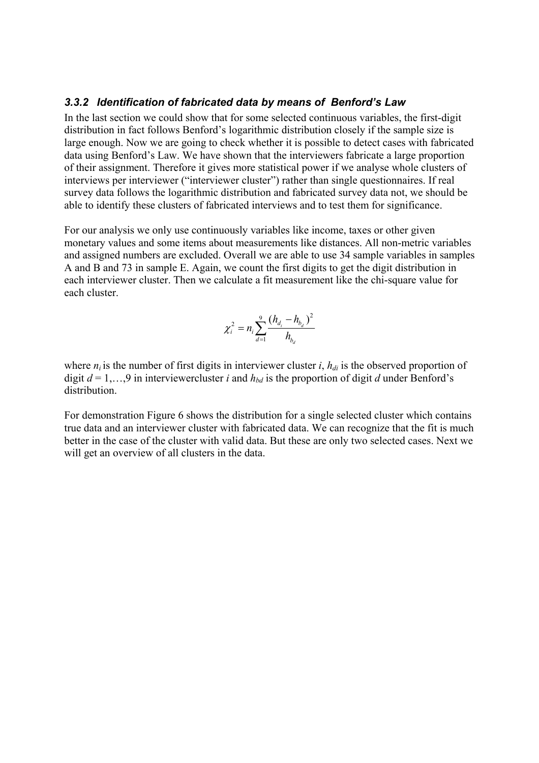#### *3.3.2 Identification of fabricated data by means of Benford's Law*

In the last section we could show that for some selected continuous variables, the first-digit distribution in fact follows Benford's logarithmic distribution closely if the sample size is large enough. Now we are going to check whether it is possible to detect cases with fabricated data using Benford's Law. We have shown that the interviewers fabricate a large proportion of their assignment. Therefore it gives more statistical power if we analyse whole clusters of interviews per interviewer ("interviewer cluster") rather than single questionnaires. If real survey data follows the logarithmic distribution and fabricated survey data not, we should be able to identify these clusters of fabricated interviews and to test them for significance.

For our analysis we only use continuously variables like income, taxes or other given monetary values and some items about measurements like distances. All non-metric variables and assigned numbers are excluded. Overall we are able to use 34 sample variables in samples A and B and 73 in sample E. Again, we count the first digits to get the digit distribution in each interviewer cluster. Then we calculate a fit measurement like the chi-square value for each cluster.

$$
\chi_i^2 = n_i \sum_{d=1}^{9} \frac{(h_{d_i} - h_{b_d})^2}{h_{b_d}}
$$

where  $n_i$  is the number of first digits in interviewer cluster *i*,  $h_{di}$  is the observed proportion of digit  $d = 1,...,9$  in interviewercluster *i* and  $h_{bd}$  is the proportion of digit *d* under Benford's distribution.

For demonstration Figure 6 shows the distribution for a single selected cluster which contains true data and an interviewer cluster with fabricated data. We can recognize that the fit is much better in the case of the cluster with valid data. But these are only two selected cases. Next we will get an overview of all clusters in the data.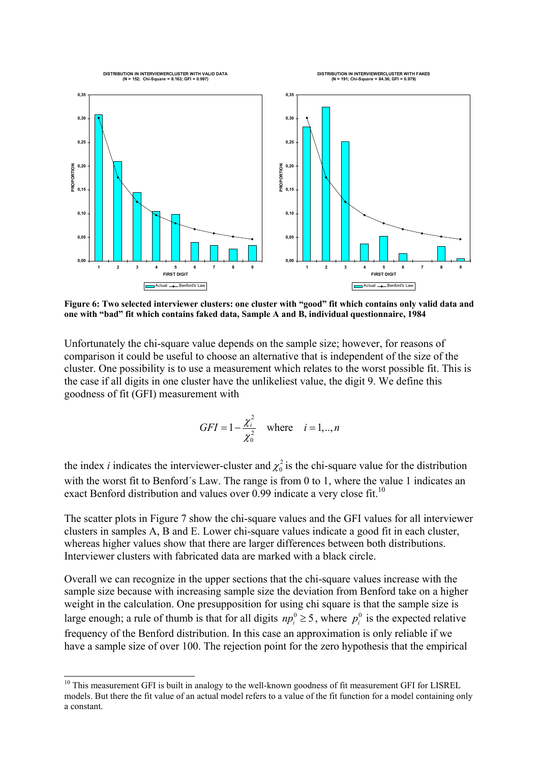

**Figure 6: Two selected interviewer clusters: one cluster with "good" fit which contains only valid data and one with "bad" fit which contains faked data, Sample A and B, individual questionnaire, 1984**

Unfortunately the chi-square value depends on the sample size; however, for reasons of comparison it could be useful to choose an alternative that is independent of the size of the cluster. One possibility is to use a measurement which relates to the worst possible fit. This is the case if all digits in one cluster have the unlikeliest value, the digit 9. We define this goodness of fit (GFI) measurement with

$$
GFI = 1 - \frac{\chi_i^2}{\chi_0^2} \quad \text{where} \quad i = 1,..,n
$$

the index *i* indicates the interviewer-cluster and  $\chi_0^2$  is the chi-square value for the distribution with the worst fit to Benford's Law. The range is from 0 to 1, where the value 1 indicates an exact Benford distribution and values over  $0.99$  indicate a very close fit.<sup>10</sup>

The scatter plots in Figure 7 show the chi-square values and the GFI values for all interviewer clusters in samples A, B and E. Lower chi-square values indicate a good fit in each cluster, whereas higher values show that there are larger differences between both distributions. Interviewer clusters with fabricated data are marked with a black circle.

Overall we can recognize in the upper sections that the chi-square values increase with the sample size because with increasing sample size the deviation from Benford take on a higher weight in the calculation. One presupposition for using chi square is that the sample size is large enough; a rule of thumb is that for all digits  $np_i^0 \ge 5$ , where  $p_i^0$  is the expected relative frequency of the Benford distribution. In this case an approximation is only reliable if we have a sample size of over 100. The rejection point for the zero hypothesis that the empirical

 $\overline{a}$ 

<sup>&</sup>lt;sup>10</sup> This measurement GFI is built in analogy to the well-known goodness of fit measurement GFI for LISREL models. But there the fit value of an actual model refers to a value of the fit function for a model containing only a constant.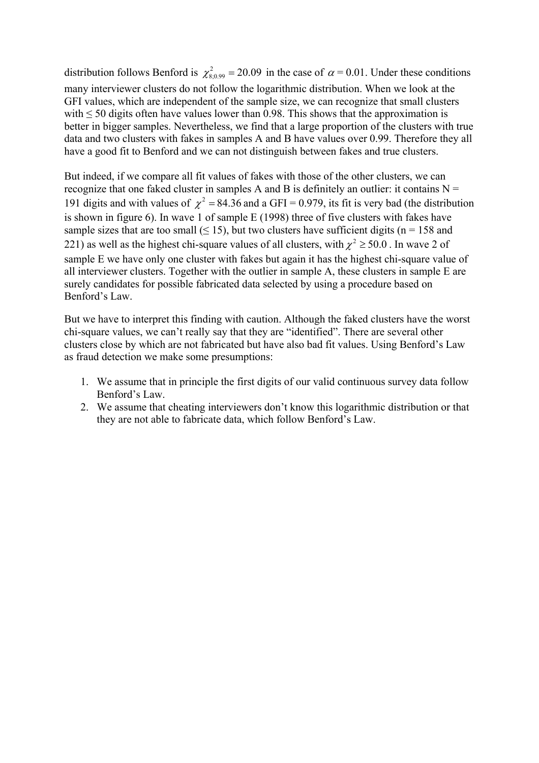distribution follows Benford is  $\chi^2_{8,0.99} = 20.09$  in the case of  $\alpha = 0.01$ . Under these conditions many interviewer clusters do not follow the logarithmic distribution. When we look at the GFI values, which are independent of the sample size, we can recognize that small clusters with  $\leq$  50 digits often have values lower than 0.98. This shows that the approximation is better in bigger samples. Nevertheless, we find that a large proportion of the clusters with true data and two clusters with fakes in samples A and B have values over 0.99. Therefore they all have a good fit to Benford and we can not distinguish between fakes and true clusters.

But indeed, if we compare all fit values of fakes with those of the other clusters, we can recognize that one faked cluster in samples A and B is definitely an outlier: it contains  $N =$ 191 digits and with values of  $\chi^2$  = 84.36 and a GFI = 0.979, its fit is very bad (the distribution is shown in figure 6). In wave 1 of sample E (1998) three of five clusters with fakes have sample sizes that are too small  $(\leq 15)$ , but two clusters have sufficient digits (n = 158 and 221) as well as the highest chi-square values of all clusters, with  $\chi^2 \ge 50.0$ . In wave 2 of sample E we have only one cluster with fakes but again it has the highest chi-square value of all interviewer clusters. Together with the outlier in sample A, these clusters in sample E are surely candidates for possible fabricated data selected by using a procedure based on Benford's Law.

But we have to interpret this finding with caution. Although the faked clusters have the worst chi-square values, we can't really say that they are "identified". There are several other clusters close by which are not fabricated but have also bad fit values. Using Benford's Law as fraud detection we make some presumptions:

- 1. We assume that in principle the first digits of our valid continuous survey data follow Benford's Law.
- 2. We assume that cheating interviewers don't know this logarithmic distribution or that they are not able to fabricate data, which follow Benford's Law.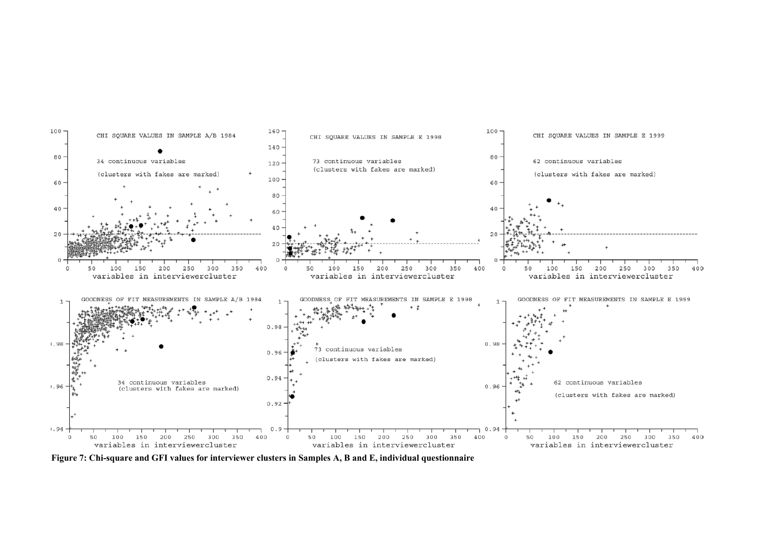

**Figure 7: Chi-square and GFI values for interviewer clusters in Samples A, B and E, individual questionnaire**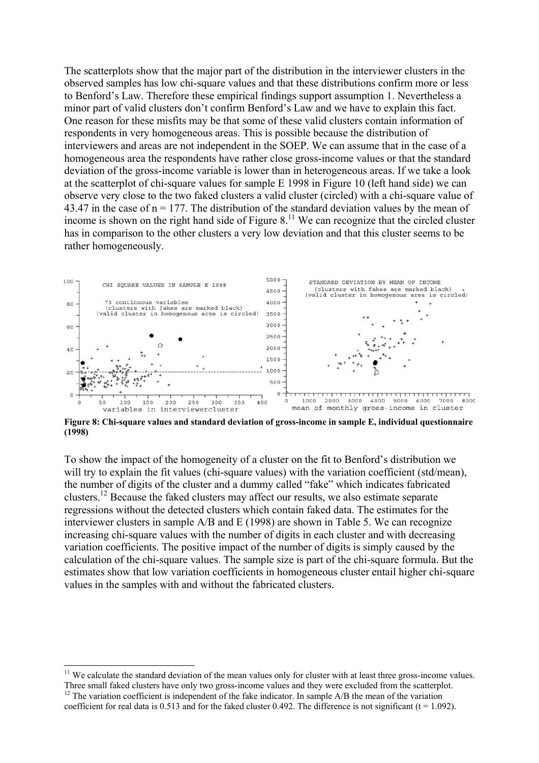The scatterplots show that the major part of the distribution in the interviewer clusters in the observed samples has low chi-square values and that these distributions confirm more or less to Benford's Law. Therefore these empirical findings support assumption 1. Nevertheless a minor part of valid clusters don't confirm Benford's Law and we have to explain this fact. One reason for these misfits may be that some of these valid clusters contain information of respondents in very homogeneous areas. This is possible because the distribution of interviewers and areas are not independent in the SOEP. We can assume that in the case of a homogeneous area the respondents have rather close gross-income values or that the standard deviation of the gross-income variable is lower than in heterogeneous areas. If we take a look at the scatterplot of chi-square values for sample E 1998 in Figure 10 (left hand side) we can observe very close to the two faked clusters a valid cluster (circled) with a chi-square value of 43.47 in the case of  $n = 177$ . The distribution of the standard deviation values by the mean of income is shown on the right hand side of Figure  $8<sup>11</sup>$  We can recognize that the circled cluster has in comparison to the other clusters a very low deviation and that this cluster seems to be rather homogeneously.



**Figure 8: Chi-square values and standard deviation of gross-income in sample E, individual questionnaire (1998)**

To show the impact of the homogeneity of a cluster on the fit to Benford's distribution we will try to explain the fit values (chi-square values) with the variation coefficient (std/mean), the number of digits of the cluster and a dummy called "fake" which indicates fabricated clusters.<sup>12</sup> Because the faked clusters may affect our results, we also estimate separate regressions without the detected clusters which contain faked data. The estimates for the interviewer clusters in sample A/B and E (1998) are shown in Table 5. We can recognize increasing chi-square values with the number of digits in each cluster and with decreasing variation coefficients. The positive impact of the number of digits is simply caused by the calculation of the chi-square values. The sample size is part of the chi-square formula. But the estimates show that low variation coefficients in homogeneous cluster entail higher chi-square values in the samples with and without the fabricated clusters.

 $\overline{a}$ 

 $11$  We calculate the standard deviation of the mean values only for cluster with at least three gross-income values. Three small faked clusters have only two gross-income values and they were excluded from the scatterplot. <sup>12</sup> The variation coefficient is independent of the fake indicator. In sample A/B the mean of the variation coefficient for real data is 0.513 and for the faked cluster 0.492. The difference is not significant ( $t = 1.092$ ).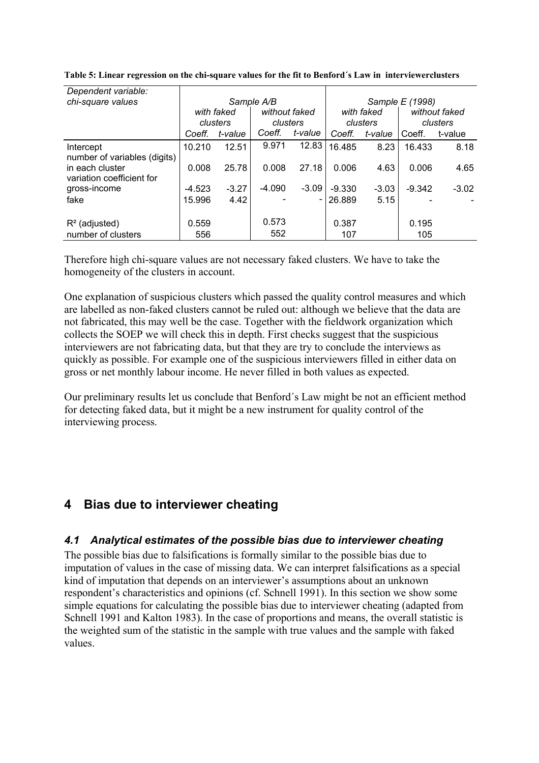| Dependent variable:          |            |          |               |         |                 |            |          |               |
|------------------------------|------------|----------|---------------|---------|-----------------|------------|----------|---------------|
| chi-square values            |            |          | Sample A/B    |         | Sample E (1998) |            |          |               |
|                              | with faked |          | without faked |         |                 | with faked |          | without faked |
|                              |            | clusters | clusters      |         |                 | clusters   |          | clusters      |
|                              | Coeff.     | t-value  | Coeff.        | t-value | Coeff.          | t-value    | Coeff.   | t-value       |
| Intercept                    | 10.210     | 12.51    | 9.971         | 12.83   | 16.485          | 8.23       | 16.433   | 8.18          |
| number of variables (digits) |            |          |               |         |                 |            |          |               |
| in each cluster              | 0.008      | 25.78    | 0.008         | 27.18   | 0.006           | 4.63       | 0.006    | 4.65          |
| variation coefficient for    |            |          |               |         |                 |            |          |               |
| gross-income                 | $-4.523$   | $-3.27$  | $-4.090$      | $-3.09$ | $-9.330$        | $-3.03$    | $-9.342$ | $-3.02$       |
| fake                         | 15.996     | 4.42     |               |         | 26.889          | 5.15       |          |               |
|                              |            |          |               |         |                 |            |          |               |
| $R^2$ (adjusted)             | 0.559      |          | 0.573         |         | 0.387           |            | 0.195    |               |
| number of clusters           | 556        |          | 552           |         | 107             |            | 105      |               |

**Table 5: Linear regression on the chi-square values for the fit to Benford´s Law in interviewerclusters** 

Therefore high chi-square values are not necessary faked clusters. We have to take the homogeneity of the clusters in account.

One explanation of suspicious clusters which passed the quality control measures and which are labelled as non-faked clusters cannot be ruled out: although we believe that the data are not fabricated, this may well be the case. Together with the fieldwork organization which collects the SOEP we will check this in depth. First checks suggest that the suspicious interviewers are not fabricating data, but that they are try to conclude the interviews as quickly as possible. For example one of the suspicious interviewers filled in either data on gross or net monthly labour income. He never filled in both values as expected.

Our preliminary results let us conclude that Benford´s Law might be not an efficient method for detecting faked data, but it might be a new instrument for quality control of the interviewing process.

# **4 Bias due to interviewer cheating**

#### *4.1 Analytical estimates of the possible bias due to interviewer cheating*

The possible bias due to falsifications is formally similar to the possible bias due to imputation of values in the case of missing data. We can interpret falsifications as a special kind of imputation that depends on an interviewer's assumptions about an unknown respondent's characteristics and opinions (cf. Schnell 1991). In this section we show some simple equations for calculating the possible bias due to interviewer cheating (adapted from Schnell 1991 and Kalton 1983). In the case of proportions and means, the overall statistic is the weighted sum of the statistic in the sample with true values and the sample with faked values.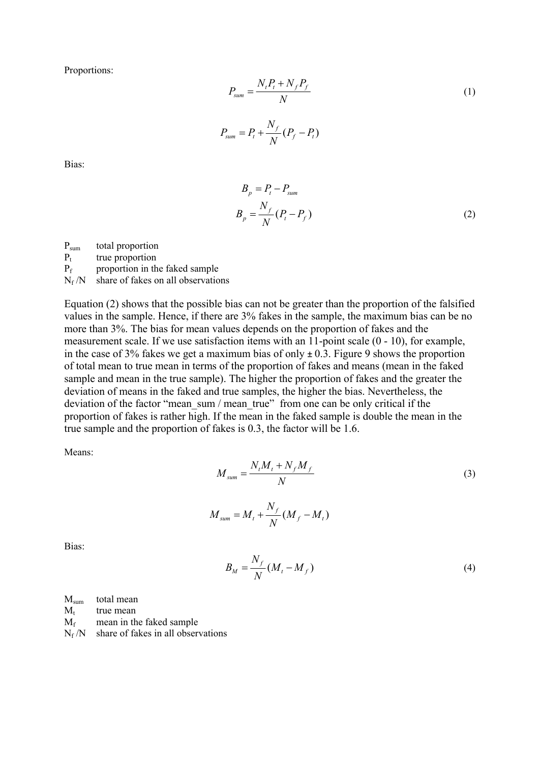Proportions:

$$
P_{sum} = \frac{N_t P_t + N_f P_f}{N}
$$
  
(1)  

$$
P_{sum} = P_t + \frac{N_f}{N} (P_f - P_t)
$$

Bias:

$$
B_p = P_t - P_{sum}
$$
  
\n
$$
B_p = \frac{N_f}{N} (P_t - P_f)
$$
\n(2)

Psum total proportion

 $P_t$  true proportion<br> $P_f$  proportion in th

proportion in the faked sample

 $N_f/N$  share of fakes on all observations

Equation (2) shows that the possible bias can not be greater than the proportion of the falsified values in the sample. Hence, if there are 3% fakes in the sample, the maximum bias can be no more than 3%. The bias for mean values depends on the proportion of fakes and the measurement scale. If we use satisfaction items with an 11-point scale (0 - 10), for example, in the case of 3% fakes we get a maximum bias of only *±* 0.3. Figure 9 shows the proportion of total mean to true mean in terms of the proportion of fakes and means (mean in the faked sample and mean in the true sample). The higher the proportion of fakes and the greater the deviation of means in the faked and true samples, the higher the bias. Nevertheless, the deviation of the factor "mean\_sum / mean\_true" from one can be only critical if the proportion of fakes is rather high. If the mean in the faked sample is double the mean in the true sample and the proportion of fakes is 0.3, the factor will be 1.6.

Means:

$$
M_{sum} = \frac{N_t M_t + N_f M_f}{N}
$$
  

$$
M_{sum} = M_t + \frac{N_f}{N} (M_f - M_t)
$$
 (3)

Bias:

$$
B_M = \frac{N_f}{N} (M_t - M_f)
$$
 (4)

|                 | $M_{\text{sum}}$ total mean                |
|-----------------|--------------------------------------------|
| M+              | true mean                                  |
| $\rm M_{\rm f}$ | mean in the faked sample                   |
|                 | $N_f/N$ share of fakes in all observations |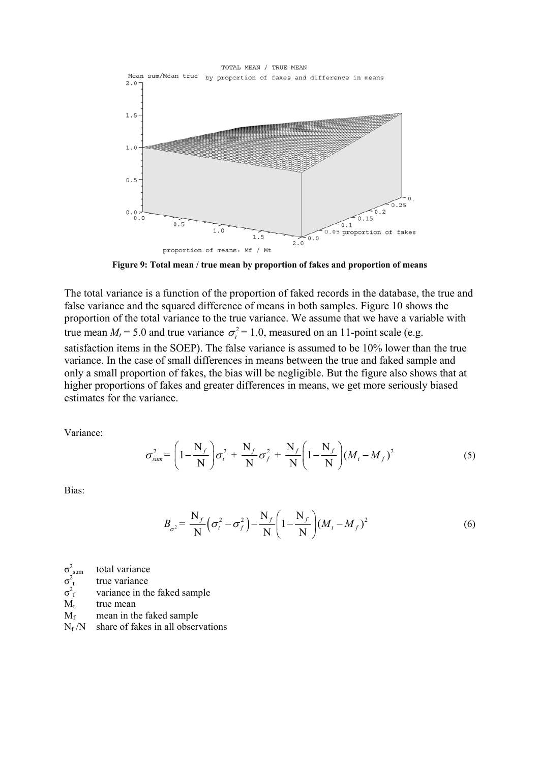

**Figure 9: Total mean / true mean by proportion of fakes and proportion of means**

The total variance is a function of the proportion of faked records in the database, the true and false variance and the squared difference of means in both samples. Figure 10 shows the proportion of the total variance to the true variance. We assume that we have a variable with true mean  $M_t = 5.0$  and true variance  $\sigma_t^2 = 1.0$ , measured on an 11-point scale (e.g. satisfaction items in the SOEP). The false variance is assumed to be 10% lower than the true variance. In the case of small differences in means between the true and faked sample and only a small proportion of fakes, the bias will be negligible. But the figure also shows that at higher proportions of fakes and greater differences in means, we get more seriously biased estimates for the variance.

Variance:

$$
\sigma_{sum}^{2} = \left(1 - \frac{N_{f}}{N}\right)\sigma_{t}^{2} + \frac{N_{f}}{N}\sigma_{f}^{2} + \frac{N_{f}}{N}\left(1 - \frac{N_{f}}{N}\right)(M_{t} - M_{f})^{2}
$$
(5)

Bias:

$$
B_{\sigma^2} = \frac{N_f}{N} \left( \sigma_t^2 - \sigma_f^2 \right) - \frac{N_f}{N} \left( 1 - \frac{N_f}{N} \right) \left( M_t - M_f \right)^2 \tag{6}
$$

 $\sigma^2$ total variance

 $\sigma^2$ true variance

 $\sigma^2$ variance in the faked sample

 $M_t$  true mean

 $M_f$  mean in the faked sample<br>N<sub>f</sub>/N share of fakes in all obser

share of fakes in all observations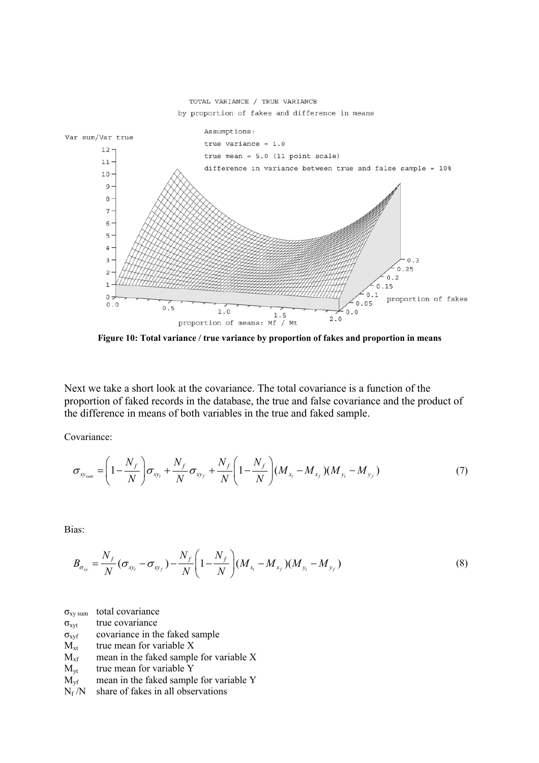

**Figure 10: Total variance / true variance by proportion of fakes and proportion in means**

Next we take a short look at the covariance. The total covariance is a function of the proportion of faked records in the database, the true and false covariance and the product of the difference in means of both variables in the true and faked sample.

Covariance:

$$
\sigma_{xy_{sum}} = \left(1 - \frac{N_f}{N}\right)\sigma_{xy_t} + \frac{N_f}{N}\sigma_{xy_f} + \frac{N_f}{N}\left(1 - \frac{N_f}{N}\right)(M_{x_t} - M_{x_f})(M_{y_t} - M_{y_f})
$$
\n(7)

Bias:

$$
B_{\sigma_{xy}} = \frac{N_f}{N} (\sigma_{xy_t} - \sigma_{xy_f}) - \frac{N_f}{N} \left( 1 - \frac{N_f}{N} \right) (M_{x_t} - M_{x_f}) (M_{y_t} - M_{y_f})
$$
(8)

 $\sigma_{xy \, sum}$  total covariance

 $\sigma_{xvt}$  true covariance

 $\sigma_{xyf}$  covariance in the faked sample

 $M_{xt}$  true mean for variable X

- $M<sub>xf</sub>$  mean in the faked sample for variable X
- $M_{vt}$  true mean for variable Y
- $M_{\rm vf}$  mean in the faked sample for variable Y
- $N_f/N$  share of fakes in all observations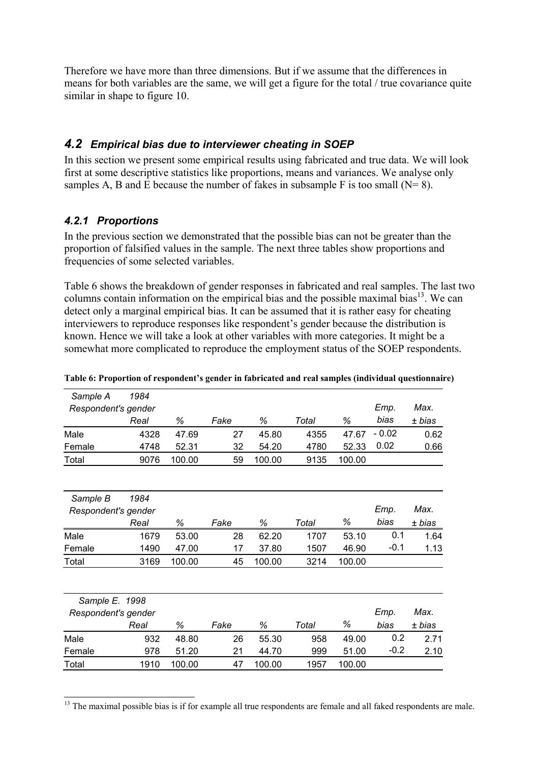Therefore we have more than three dimensions. But if we assume that the differences in means for both variables are the same, we will get a figure for the total / true covariance quite similar in shape to figure 10.

### *4.2 Empirical bias due to interviewer cheating in SOEP*

In this section we present some empirical results using fabricated and true data. We will look first at some descriptive statistics like proportions, means and variances. We analyse only samples A, B and E because the number of fakes in subsample F is too small  $(N= 8)$ .

# *4.2.1 Proportions*

In the previous section we demonstrated that the possible bias can not be greater than the proportion of falsified values in the sample. The next three tables show proportions and frequencies of some selected variables.

Table 6 shows the breakdown of gender responses in fabricated and real samples. The last two columns contain information on the empirical bias and the possible maximal bias<sup>13</sup>. We can detect only a marginal empirical bias. It can be assumed that it is rather easy for cheating interviewers to reproduce responses like respondent's gender because the distribution is known. Hence we will take a look at other variables with more categories. It might be a somewhat more complicated to reproduce the employment status of the SOEP respondents.

| Sample A            | 1984 |        |      |        |       |        |         |        |
|---------------------|------|--------|------|--------|-------|--------|---------|--------|
| Respondent's gender |      |        |      |        |       |        | Emp.    | Max.   |
|                     | Real | ℅      | Fake | %      | Total | ℅      | bias    | ± bias |
| Male                | 4328 | 47.69  | 27   | 45.80  | 4355  | 47.67  | $-0.02$ | 0.62   |
| Female              | 4748 | 52.31  | 32   | 54.20  | 4780  | 52.33  | 0.02    | 0.66   |
| Total               | 9076 | 100.00 | 59   | 100.00 | 9135  | 100.00 |         |        |
|                     |      |        |      |        |       |        |         |        |
| Sample B            | 1984 |        |      |        |       |        |         |        |
| Respondent's gender |      |        |      |        |       |        | Emp.    | Max.   |
|                     | Real | %      | Fake | %      | Total | %      | bias    | ± bias |
| Male                | 1679 | 53.00  | 28   | 62.20  | 1707  | 53.10  | 0.1     | 1.64   |
| Female              | 1490 | 47.00  | 17   | 37.80  | 1507  | 46.90  | $-0.1$  | 1.13   |
| Total               | 3169 | 100.00 | 45   | 100.00 | 3214  | 100.00 |         |        |
|                     |      |        |      |        |       |        |         |        |
| Sample E. 1998      |      |        |      |        |       |        |         |        |
| Respondent's gender |      |        |      |        |       |        | Emp.    | Max.   |
|                     | Real | ℅      | Fake | %      | Total | %      | bias    | ± bias |
| Male                | 932  | 48.80  | 26   | 55.30  | 958   | 49.00  | 0.2     | 2.71   |
| Female              | 978  | 51.20  | 21   | 44.70  | 999   | 51.00  | $-0.2$  | 2.10   |

**Table 6: Proportion of respondent's gender in fabricated and real samples (individual questionnaire)** 

Total 1910 100.00 47 100.00 1957 100.00

 $\overline{a}$  $<sup>13</sup>$  The maximal possible bias is if for example all true respondents are female and all faked respondents are male.</sup>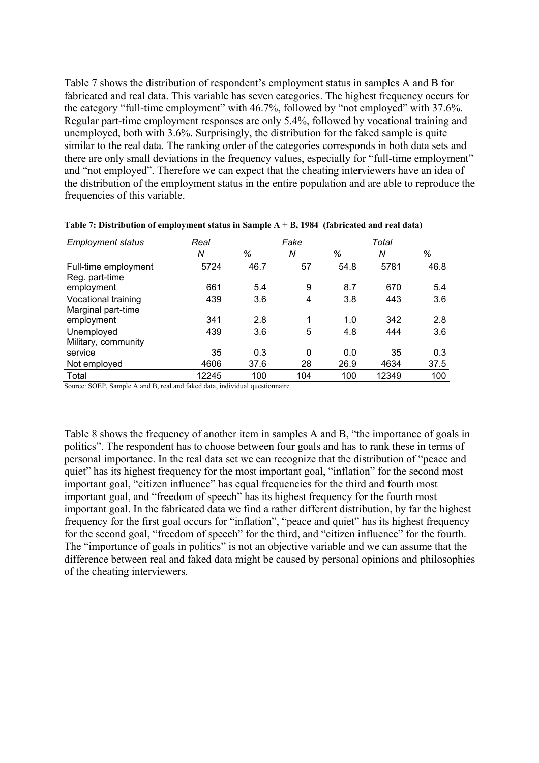Table 7 shows the distribution of respondent's employment status in samples A and B for fabricated and real data. This variable has seven categories. The highest frequency occurs for the category "full-time employment" with 46.7%, followed by "not employed" with 37.6%. Regular part-time employment responses are only 5.4%, followed by vocational training and unemployed, both with 3.6%. Surprisingly, the distribution for the faked sample is quite similar to the real data. The ranking order of the categories corresponds in both data sets and there are only small deviations in the frequency values, especially for "full-time employment" and "not employed". Therefore we can expect that the cheating interviewers have an idea of the distribution of the employment status in the entire population and are able to reproduce the frequencies of this variable.

| <b>Employment status</b> | Real  |      | Fake |      | Total |      |
|--------------------------|-------|------|------|------|-------|------|
|                          | Ν     | %    | Ν    | %    | Ν     | %    |
| Full-time employment     | 5724  | 46.7 | 57   | 54.8 | 5781  | 46.8 |
| Reg. part-time           |       |      |      |      |       |      |
| employment               | 661   | 5.4  | 9    | 8.7  | 670   | 5.4  |
| Vocational training      | 439   | 3.6  | 4    | 3.8  | 443   | 3.6  |
| Marginal part-time       |       |      |      |      |       |      |
| employment               | 341   | 2.8  | 1    | 1.0  | 342   | 2.8  |
| Unemployed               | 439   | 3.6  | 5    | 4.8  | 444   | 3.6  |
| Military, community      |       |      |      |      |       |      |
| service                  | 35    | 0.3  | 0    | 0.0  | 35    | 0.3  |
| Not employed             | 4606  | 37.6 | 28   | 26.9 | 4634  | 37.5 |
| Total                    | 12245 | 100  | 104  | 100  | 12349 | 100  |

**Table 7: Distribution of employment status in Sample A + B, 1984 (fabricated and real data)** 

Source: SOEP, Sample A and B, real and faked data, individual questionnaire

Table 8 shows the frequency of another item in samples A and B, "the importance of goals in politics". The respondent has to choose between four goals and has to rank these in terms of personal importance. In the real data set we can recognize that the distribution of "peace and quiet" has its highest frequency for the most important goal, "inflation" for the second most important goal, "citizen influence" has equal frequencies for the third and fourth most important goal, and "freedom of speech" has its highest frequency for the fourth most important goal. In the fabricated data we find a rather different distribution, by far the highest frequency for the first goal occurs for "inflation", "peace and quiet" has its highest frequency for the second goal, "freedom of speech" for the third, and "citizen influence" for the fourth. The "importance of goals in politics" is not an objective variable and we can assume that the difference between real and faked data might be caused by personal opinions and philosophies of the cheating interviewers.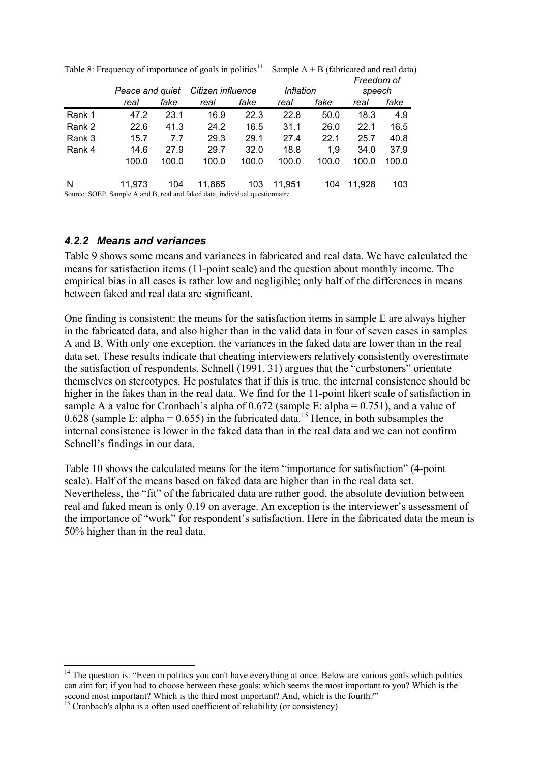|        |                 |       |                   |       |           |       | Freedom of |       |
|--------|-----------------|-------|-------------------|-------|-----------|-------|------------|-------|
|        | Peace and quiet |       | Citizen influence |       | Inflation |       | speech     |       |
|        | real            | fake  | real              | fake  | real      | fake  | real       | fake  |
| Rank 1 | 47.2            | 23.1  | 16.9              | 22.3  | 22.8      | 50.0  | 18.3       | 4.9   |
| Rank 2 | 22.6            | 41.3  | 24.2              | 16.5  | 31.1      | 26.0  | 22.1       | 16.5  |
| Rank 3 | 15.7            | 7.7   | 29.3              | 29.1  | 27.4      | 22.1  | 25.7       | 40.8  |
| Rank 4 | 14.6            | 27.9  | 29.7              | 32.0  | 18.8      | 1.9   | 34.0       | 37.9  |
|        | 100.0           | 100.0 | 100.0             | 100.0 | 100.0     | 100.0 | 100.0      | 100.0 |
| N      | 11.973          | 104   | 11,865            | 103   | 11.951    | 104   | 11,928     | 103   |

Table 8: Frequency of importance of goals in politics<sup>14</sup> – Sample  $A + B$  (fabricated and real data)

Source: SOEP, Sample A and B, real and faked data, individual questionnaire

#### *4.2.2 Means and variances*

Table 9 shows some means and variances in fabricated and real data. We have calculated the means for satisfaction items (11-point scale) and the question about monthly income. The empirical bias in all cases is rather low and negligible; only half of the differences in means between faked and real data are significant.

One finding is consistent: the means for the satisfaction items in sample E are always higher in the fabricated data, and also higher than in the valid data in four of seven cases in samples A and B. With only one exception, the variances in the faked data are lower than in the real data set. These results indicate that cheating interviewers relatively consistently overestimate the satisfaction of respondents. Schnell (1991, 31) argues that the "curbstoners" orientate themselves on stereotypes. He postulates that if this is true, the internal consistence should be higher in the fakes than in the real data. We find for the 11-point likert scale of satisfaction in sample A a value for Cronbach's alpha of  $0.672$  (sample E: alpha =  $0.751$ ), and a value of 0.628 (sample E: alpha = 0.655) in the fabricated data.<sup>15</sup> Hence, in both subsamples the internal consistence is lower in the faked data than in the real data and we can not confirm Schnell's findings in our data.

Table 10 shows the calculated means for the item "importance for satisfaction" (4-point scale). Half of the means based on faked data are higher than in the real data set. Nevertheless, the "fit" of the fabricated data are rather good, the absolute deviation between real and faked mean is only 0.19 on average. An exception is the interviewer's assessment of the importance of "work" for respondent's satisfaction. Here in the fabricated data the mean is 50% higher than in the real data.

 $\overline{a}$ 

 $14$  The question is: "Even in politics you can't have everything at once. Below are various goals which politics can aim for; if you had to choose between these goals: which seems the most important to you? Which is the second most important? Which is the third most important? And, which is the fourth?"

<sup>&</sup>lt;sup>15</sup> Cronbach's alpha is a often used coefficient of reliability (or consistency).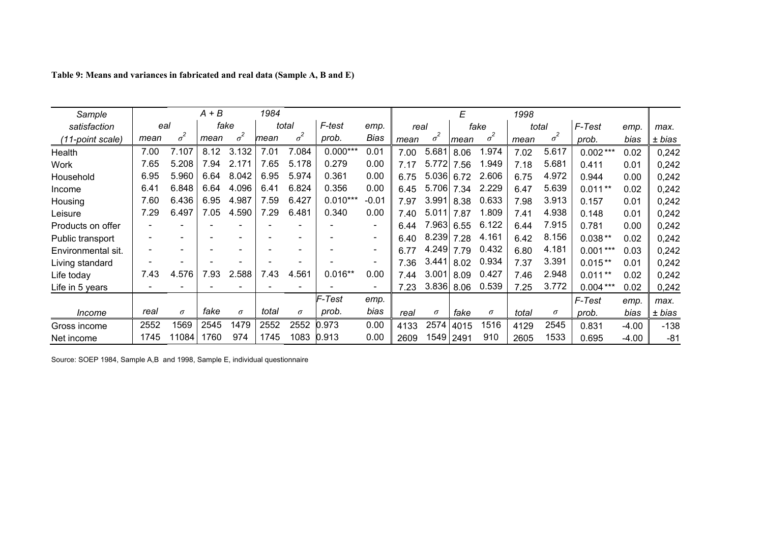| Sample             |      |            | A + B |            | 1984  |            |            |                          |      |            | E    |            | 1998  |            |            |         |        |
|--------------------|------|------------|-------|------------|-------|------------|------------|--------------------------|------|------------|------|------------|-------|------------|------------|---------|--------|
| satisfaction       | eal  |            | fake  |            |       | total      | F-test     | emp.                     | real |            |      | fake       | total |            | F-Test     | emp.    | max.   |
| (11-point scale)   | mean | $\sigma^2$ | mean  | $\sigma^2$ | mean  | $\sigma^2$ | prob.      | Bias                     | mean | $\sigma^2$ | mean | $\sigma^2$ | mean  | $\sigma^2$ | prob.      | bias    | ± bias |
| Health             | 7.00 | 7.107      | 8.12  | 3.132      | 7.01  | 7.084      | $0.000***$ | 0.01                     | 7.00 | 5.681      | 8.06 | .974       | 7.02  | 5.617      | $0.002***$ | 0.02    | 0,242  |
| <b>Work</b>        | 7.65 | 5.208      | 7.94  | 2.171      | 7.65  | 5.178      | 0.279      | 0.00                     | 7.17 | 5.772      | 7.56 | 1.949      | 7.18  | 5.681      | 0.411      | 0.01    | 0,242  |
| Household          | 6.95 | 5.960      | 6.64  | 8.042      | 6.95  | 5.974      | 0.361      | 0.00                     | 6.75 | 5.036      | 6.72 | 2.606      | 6.75  | 4.972      | 0.944      | 0.00    | 0,242  |
| Income             | 6.41 | 6.848      | 6.64  | 4.096      | 6.41  | 6.824      | 0.356      | 0.00                     | 6.45 | 5.706      | 7.34 | 2.229      | 6.47  | 5.639      | $0.011**$  | 0.02    | 0,242  |
| Housing            | 7.60 | 6.436      | 6.95  | 4.987      | 7.59  | 6.427      | $0.010***$ | $-0.01$                  | 7.97 | 3.991      | 8.38 | 0.633      | 7.98  | 3.913      | 0.157      | 0.01    | 0,242  |
| Leisure            | 7.29 | 6.497      | 7.05  | 4.590      | 7.29  | 6.481      | 0.340      | 0.00                     | 7.40 | 5.011      | 7.87 | 1.809      | 7.41  | 4.938      | 0.148      | 0.01    | 0,242  |
| Products on offer  |      |            |       |            |       |            |            | $\overline{\phantom{a}}$ | 6.44 | 7.963      | 6.55 | 6.122      | 6.44  | 7.915      | 0.781      | 0.00    | 0,242  |
| Public transport   |      |            |       |            |       |            |            | $\blacksquare$           | 6.40 | 8.239 7.28 |      | 4.161      | 6.42  | 8.156      | $0.038**$  | 0.02    | 0,242  |
| Environmental sit. |      |            |       |            |       |            |            | $\overline{\phantom{a}}$ | 6.77 | 4.249      | 7.79 | 0.432      | 6.80  | 4.181      | $0.001***$ | 0.03    | 0,242  |
| Living standard    |      |            |       |            |       |            |            | $\overline{\phantom{a}}$ | 7.36 | 3.441      | 8.02 | 0.934      | 7.37  | 3.391      | $0.015**$  | 0.01    | 0,242  |
| Life today         | 7.43 | 4.576      | 7.93  | 2.588      | 7.43  | 4.561      | $0.016**$  | 0.00                     | 7.44 | 3.001      | 8.09 | 0.427      | 7.46  | 2.948      | $0.011**$  | 0.02    | 0,242  |
| Life in 5 years    |      |            |       |            |       |            |            | $\overline{\phantom{a}}$ | 7.23 | 3.836      | 8.06 | 0.539      | 7.25  | 3.772      | $0.004***$ | 0.02    | 0,242  |
|                    |      |            |       |            |       |            | F-Test     | emp.                     |      |            |      |            |       |            | F-Test     | emp.    | max.   |
| Income             | real | $\sigma$   | fake  | $\sigma$   | total | $\sigma$   | prob.      | bias                     | real | $\sigma$   | fake | $\sigma$   | total | $\sigma$   | prob.      | bias    | ± bias |
| Gross income       | 2552 | 1569       | 2545  | 1479       | 2552  | 2552       | 0.973      | 0.00                     | 4133 | 2574       | 4015 | 1516       | 4129  | 2545       | 0.831      | $-4.00$ | $-138$ |
| Net income         | 1745 | 11084      | 1760  | 974        | 1745  | 1083       | 0.913      | 0.00                     | 2609 | 1549 2491  |      | 910        | 2605  | 1533       | 0.695      | $-4.00$ | $-81$  |

| Table 9: Means and variances in fabricated and real data (Sample A, B and E) |  |  |  |  |  |
|------------------------------------------------------------------------------|--|--|--|--|--|
|------------------------------------------------------------------------------|--|--|--|--|--|

Source: SOEP 1984, Sample A,B and 1998, Sample E, individual questionnaire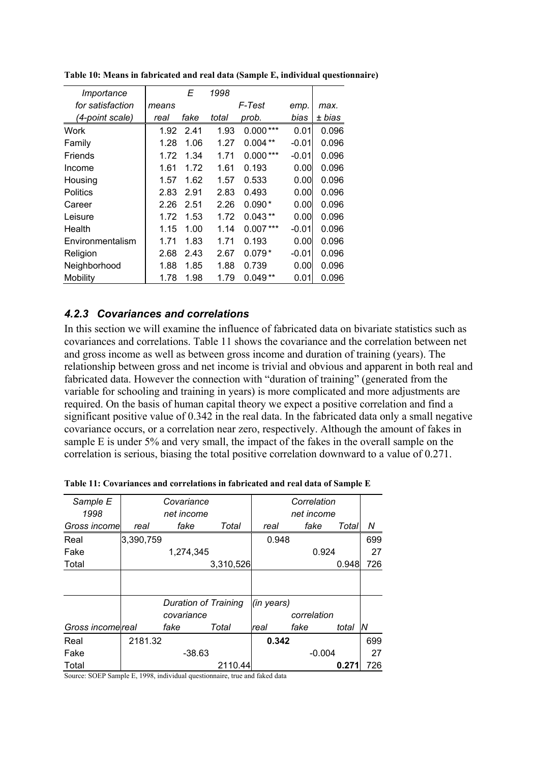| Importance       |       | E    | 1998  |            |         |        |
|------------------|-------|------|-------|------------|---------|--------|
| for satisfaction | means |      |       | F-Test     | emp.    | max.   |
| (4-point scale)  | real  | fake | total | prob.      | bias    | ± bias |
| Work             | 1.92  | 2.41 | 1.93  | $0.000***$ | 0.01    | 0.096  |
| Family           | 1.28  | 1.06 | 1.27  | $0.004**$  | $-0.01$ | 0.096  |
| Friends          | 1.72  | 1.34 | 1.71  | $0.000***$ | $-0.01$ | 0.096  |
| Income           | 1.61  | 1.72 | 1.61  | 0.193      | 0.00    | 0.096  |
| Housing          | 1.57  | 1.62 | 1.57  | 0.533      | 0.00    | 0.096  |
| <b>Politics</b>  | 2.83  | 2.91 | 2.83  | 0.493      | 0.00    | 0.096  |
| Career           | 2.26  | 2.51 | 2.26  | $0.090*$   | 0.00    | 0.096  |
| Leisure          | 1.72  | 1.53 | 1.72  | $0.043**$  | 0.00    | 0.096  |
| Health           | 1.15  | 1.00 | 1.14  | $0.007***$ | $-0.01$ | 0.096  |
| Environmentalism | 1.71  | 1.83 | 1.71  | 0.193      | 0.00    | 0.096  |
| Religion         | 2.68  | 2.43 | 2.67  | $0.079*$   | $-0.01$ | 0.096  |
| Neighborhood     | 1.88  | 1.85 | 1.88  | 0.739      | 0.00    | 0.096  |
| Mobility         | 1.78  | 1.98 | 1.79  | 0.049      | 0.01    | 0.096  |

**Table 10: Means in fabricated and real data (Sample E, individual questionnaire)** 

#### *4.2.3 Covariances and correlations*

In this section we will examine the influence of fabricated data on bivariate statistics such as covariances and correlations. Table 11 shows the covariance and the correlation between net and gross income as well as between gross income and duration of training (years). The relationship between gross and net income is trivial and obvious and apparent in both real and fabricated data. However the connection with "duration of training" (generated from the variable for schooling and training in years) is more complicated and more adjustments are required. On the basis of human capital theory we expect a positive correlation and find a significant positive value of 0.342 in the real data. In the fabricated data only a small negative covariance occurs, or a correlation near zero, respectively. Although the amount of fakes in sample E is under 5% and very small, the impact of the fakes in the overall sample on the correlation is serious, biasing the total positive correlation downward to a value of 0.271.

| Sample E          |           | Covariance           |           |            | Correlation |       |     |
|-------------------|-----------|----------------------|-----------|------------|-------------|-------|-----|
| 1998              |           | net income           |           |            | net income  |       |     |
| Gross income      | real      | fake                 | Total     | real       | fake        | Total | Ν   |
| Real              | 3,390,759 |                      |           | 0.948      |             |       | 699 |
| Fake              |           | 1,274,345            |           |            | 0.924       |       | 27  |
| Total             |           |                      | 3,310,526 |            |             | 0.948 | 726 |
|                   |           |                      |           |            |             |       |     |
|                   |           |                      |           |            |             |       |     |
|                   |           | Duration of Training |           | (in years) |             |       |     |
|                   |           | covariance           |           |            | correlation |       |     |
| Gross income real |           | fake                 | Total     | real       | fake        | total | N   |
| Real              | 2181.32   |                      |           | 0.342      |             |       | 699 |
| Fake              |           | $-38.63$             |           |            | $-0.004$    |       | 27  |
| Total             |           |                      | 2110.44   |            |             | 0.27  | 726 |

**Table 11: Covariances and correlations in fabricated and real data of Sample E** 

Source: SOEP Sample E, 1998, individual questionnaire, true and faked data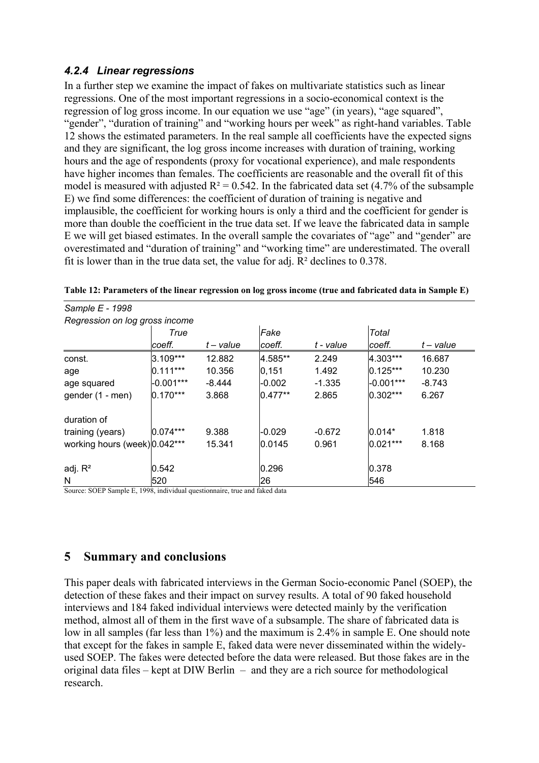#### *4.2.4 Linear regressions*

In a further step we examine the impact of fakes on multivariate statistics such as linear regressions. One of the most important regressions in a socio-economical context is the regression of log gross income. In our equation we use "age" (in years), "age squared", "gender", "duration of training" and "working hours per week" as right-hand variables. Table 12 shows the estimated parameters. In the real sample all coefficients have the expected signs and they are significant, the log gross income increases with duration of training, working hours and the age of respondents (proxy for vocational experience), and male respondents have higher incomes than females. The coefficients are reasonable and the overall fit of this model is measured with adjusted  $R^2 = 0.542$ . In the fabricated data set (4.7% of the subsample E) we find some differences: the coefficient of duration of training is negative and implausible, the coefficient for working hours is only a third and the coefficient for gender is more than double the coefficient in the true data set. If we leave the fabricated data in sample E we will get biased estimates. In the overall sample the covariates of "age" and "gender" are overestimated and "duration of training" and "working time" are underestimated. The overall fit is lower than in the true data set, the value for adj.  $R^2$  declines to 0.378.

| Sample E - 1998                |             |          |           |           |             |             |  |
|--------------------------------|-------------|----------|-----------|-----------|-------------|-------------|--|
| Regression on log gross income |             |          |           |           |             |             |  |
|                                | True        |          | Fake      |           | Total       |             |  |
|                                | coeff.      | t-value  | coeff.    | t - value | coeff.      | $t$ – value |  |
| const.                         | 3.109***    | 12.882   | 4.585**   | 2.249     | 4.303***    | 16.687      |  |
| age                            | $0.111***$  | 10.356   | 0,151     | 1.492     | $0.125***$  | 10.230      |  |
| age squared                    | $-0.001***$ | $-8.444$ | $-0.002$  | $-1.335$  | $-0.001***$ | $-8.743$    |  |
| gender (1 - men)               | $0.170***$  | 3.868    | $0.477**$ | 2.865     | $0.302***$  | 6.267       |  |
| duration of                    |             |          |           |           |             |             |  |
| training (years)               | $0.074***$  | 9.388    | $-0.029$  | $-0.672$  | $0.014*$    | 1.818       |  |
| working hours (week) 0.042***  |             | 15.341   | 0.0145    | 0.961     | $0.021***$  | 8.168       |  |
| adj. $R^2$                     | 0.542       |          | 0.296     |           | 0.378       |             |  |
| N                              | 520         |          | 26        |           | 546         |             |  |

**Table 12: Parameters of the linear regression on log gross income (true and fabricated data in Sample E)** 

Source: SOEP Sample E, 1998, individual questionnaire, true and faked data

### **5 Summary and conclusions**

This paper deals with fabricated interviews in the German Socio-economic Panel (SOEP), the detection of these fakes and their impact on survey results. A total of 90 faked household interviews and 184 faked individual interviews were detected mainly by the verification method, almost all of them in the first wave of a subsample. The share of fabricated data is low in all samples (far less than 1%) and the maximum is 2.4% in sample E. One should note that except for the fakes in sample E, faked data were never disseminated within the widelyused SOEP. The fakes were detected before the data were released. But those fakes are in the original data files – kept at DIW Berlin – and they are a rich source for methodological research.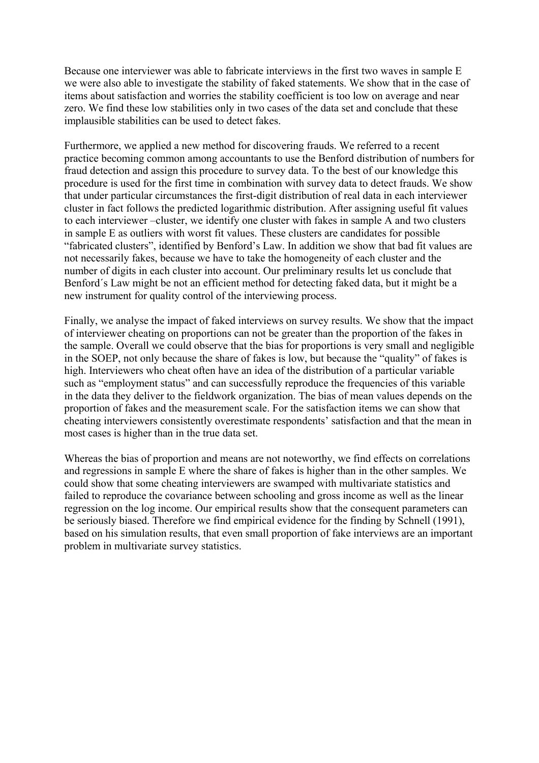Because one interviewer was able to fabricate interviews in the first two waves in sample E we were also able to investigate the stability of faked statements. We show that in the case of items about satisfaction and worries the stability coefficient is too low on average and near zero. We find these low stabilities only in two cases of the data set and conclude that these implausible stabilities can be used to detect fakes.

Furthermore, we applied a new method for discovering frauds. We referred to a recent practice becoming common among accountants to use the Benford distribution of numbers for fraud detection and assign this procedure to survey data. To the best of our knowledge this procedure is used for the first time in combination with survey data to detect frauds. We show that under particular circumstances the first-digit distribution of real data in each interviewer cluster in fact follows the predicted logarithmic distribution. After assigning useful fit values to each interviewer –cluster, we identify one cluster with fakes in sample A and two clusters in sample E as outliers with worst fit values. These clusters are candidates for possible "fabricated clusters", identified by Benford's Law. In addition we show that bad fit values are not necessarily fakes, because we have to take the homogeneity of each cluster and the number of digits in each cluster into account. Our preliminary results let us conclude that Benford´s Law might be not an efficient method for detecting faked data, but it might be a new instrument for quality control of the interviewing process.

Finally, we analyse the impact of faked interviews on survey results. We show that the impact of interviewer cheating on proportions can not be greater than the proportion of the fakes in the sample. Overall we could observe that the bias for proportions is very small and negligible in the SOEP, not only because the share of fakes is low, but because the "quality" of fakes is high. Interviewers who cheat often have an idea of the distribution of a particular variable such as "employment status" and can successfully reproduce the frequencies of this variable in the data they deliver to the fieldwork organization. The bias of mean values depends on the proportion of fakes and the measurement scale. For the satisfaction items we can show that cheating interviewers consistently overestimate respondents' satisfaction and that the mean in most cases is higher than in the true data set.

Whereas the bias of proportion and means are not noteworthy, we find effects on correlations and regressions in sample E where the share of fakes is higher than in the other samples. We could show that some cheating interviewers are swamped with multivariate statistics and failed to reproduce the covariance between schooling and gross income as well as the linear regression on the log income. Our empirical results show that the consequent parameters can be seriously biased. Therefore we find empirical evidence for the finding by Schnell (1991), based on his simulation results, that even small proportion of fake interviews are an important problem in multivariate survey statistics.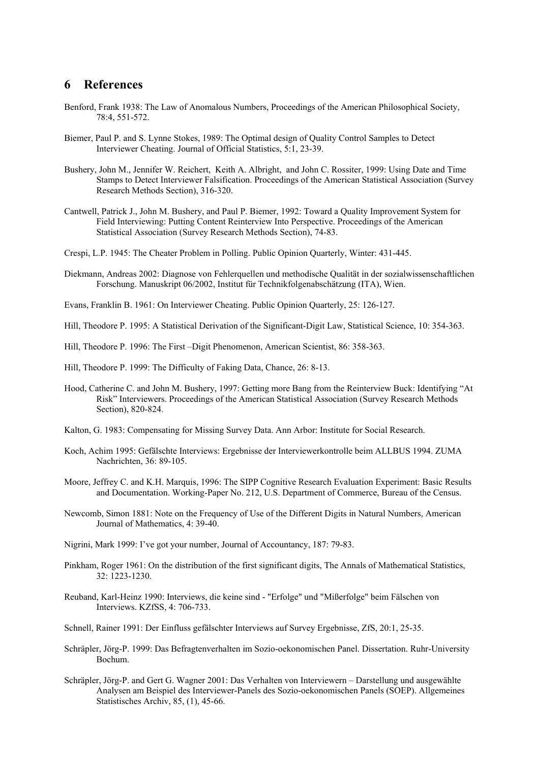#### **6 References**

- Benford, Frank 1938: The Law of Anomalous Numbers, Proceedings of the American Philosophical Society, 78:4, 551-572.
- Biemer, Paul P. and S. Lynne Stokes, 1989: The Optimal design of Quality Control Samples to Detect Interviewer Cheating. Journal of Official Statistics, 5:1, 23-39.
- Bushery, John M., Jennifer W. Reichert, Keith A. Albright, and John C. Rossiter, 1999: Using Date and Time Stamps to Detect Interviewer Falsification. Proceedings of the American Statistical Association (Survey Research Methods Section), 316-320.
- Cantwell, Patrick J., John M. Bushery, and Paul P. Biemer, 1992: Toward a Quality Improvement System for Field Interviewing: Putting Content Reinterview Into Perspective. Proceedings of the American Statistical Association (Survey Research Methods Section), 74-83.
- Crespi, L.P. 1945: The Cheater Problem in Polling. Public Opinion Quarterly, Winter: 431-445.
- Diekmann, Andreas 2002: Diagnose von Fehlerquellen und methodische Qualität in der sozialwissenschaftlichen Forschung. Manuskript 06/2002, Institut für Technikfolgenabschätzung (ITA), Wien.
- Evans, Franklin B. 1961: On Interviewer Cheating. Public Opinion Quarterly, 25: 126-127.
- Hill, Theodore P. 1995: A Statistical Derivation of the Significant-Digit Law, Statistical Science, 10: 354-363.
- Hill, Theodore P. 1996: The First –Digit Phenomenon, American Scientist, 86: 358-363.
- Hill, Theodore P. 1999: The Difficulty of Faking Data, Chance, 26: 8-13.
- Hood, Catherine C. and John M. Bushery, 1997: Getting more Bang from the Reinterview Buck: Identifying "At Risk" Interviewers. Proceedings of the American Statistical Association (Survey Research Methods Section), 820-824.
- Kalton, G. 1983: Compensating for Missing Survey Data. Ann Arbor: Institute for Social Research.
- Koch, Achim 1995: Gefälschte Interviews: Ergebnisse der Interviewerkontrolle beim ALLBUS 1994. ZUMA Nachrichten, 36: 89-105.
- Moore, Jeffrey C. and K.H. Marquis, 1996: The SIPP Cognitive Research Evaluation Experiment: Basic Results and Documentation. Working-Paper No. 212, U.S. Department of Commerce, Bureau of the Census.
- Newcomb, Simon 1881: Note on the Frequency of Use of the Different Digits in Natural Numbers, American Journal of Mathematics, 4: 39-40.
- Nigrini, Mark 1999: I've got your number, Journal of Accountancy, 187: 79-83.
- Pinkham, Roger 1961: On the distribution of the first significant digits, The Annals of Mathematical Statistics, 32: 1223-1230.
- Reuband, Karl-Heinz 1990: Interviews, die keine sind "Erfolge" und "Mißerfolge" beim Fälschen von Interviews. KZfSS, 4: 706-733.
- Schnell, Rainer 1991: Der Einfluss gefälschter Interviews auf Survey Ergebnisse, ZfS, 20:1, 25-35.
- Schräpler, Jörg-P. 1999: Das Befragtenverhalten im Sozio-oekonomischen Panel. Dissertation. Ruhr-University Bochum.
- Schräpler, Jörg-P. and Gert G. Wagner 2001: Das Verhalten von Interviewern Darstellung und ausgewählte Analysen am Beispiel des Interviewer-Panels des Sozio-oekonomischen Panels (SOEP). Allgemeines Statistisches Archiv, 85, (1), 45-66.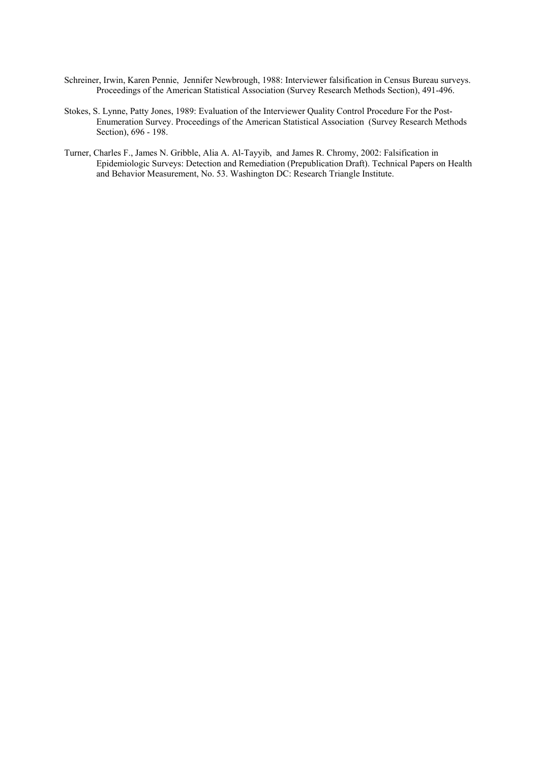- Schreiner, Irwin, Karen Pennie, Jennifer Newbrough, 1988: Interviewer falsification in Census Bureau surveys. Proceedings of the American Statistical Association (Survey Research Methods Section), 491-496.
- Stokes, S. Lynne, Patty Jones, 1989: Evaluation of the Interviewer Quality Control Procedure For the Post-Enumeration Survey. Proceedings of the American Statistical Association (Survey Research Methods Section), 696 - 198.
- Turner, Charles F., James N. Gribble, Alia A. Al-Tayyib, and James R. Chromy, 2002: Falsification in Epidemiologic Surveys: Detection and Remediation (Prepublication Draft). Technical Papers on Health and Behavior Measurement, No. 53. Washington DC: Research Triangle Institute.